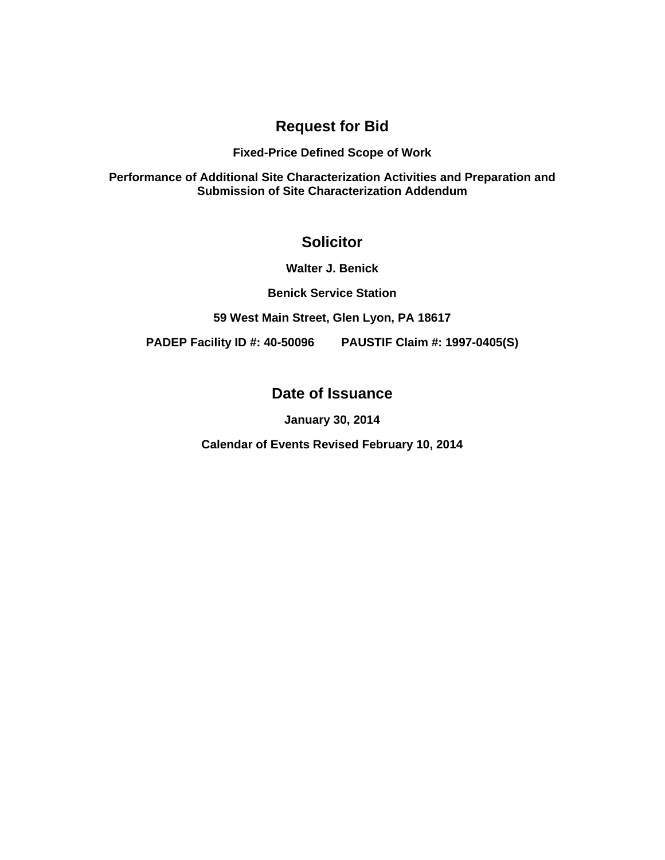# **Request for Bid**

### **Fixed-Price Defined Scope of Work**

**Performance of Additional Site Characterization Activities and Preparation and Submission of Site Characterization Addendum** 

# **Solicitor**

**Walter J. Benick** 

**Benick Service Station** 

**59 West Main Street, Glen Lyon, PA 18617** 

**PADEP Facility ID #: 40-50096 PAUSTIF Claim #: 1997-0405(S)** 

# **Date of Issuance**

**January 30, 2014** 

**Calendar of Events Revised February 10, 2014**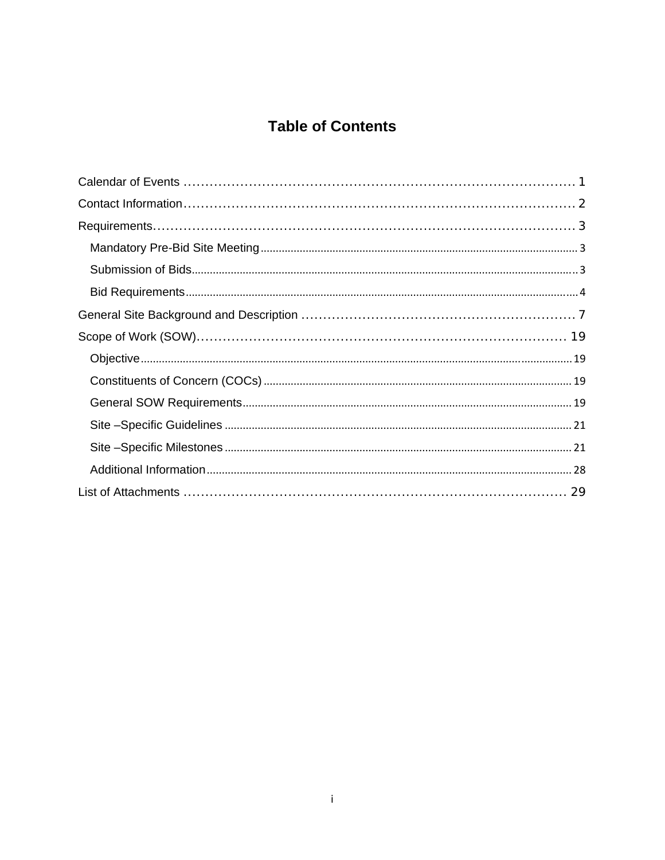# **Table of Contents**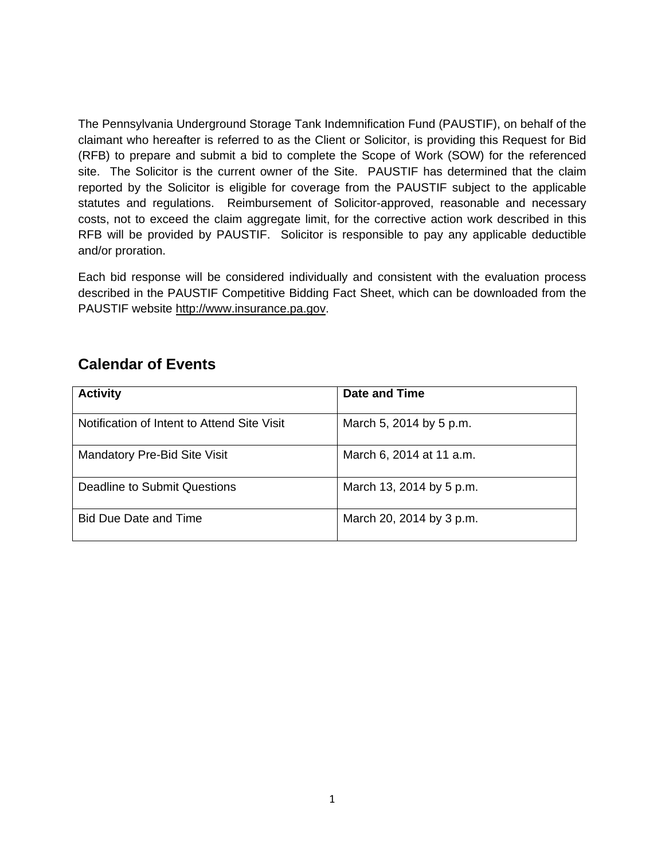The Pennsylvania Underground Storage Tank Indemnification Fund (PAUSTIF), on behalf of the claimant who hereafter is referred to as the Client or Solicitor, is providing this Request for Bid (RFB) to prepare and submit a bid to complete the Scope of Work (SOW) for the referenced site. The Solicitor is the current owner of the Site. PAUSTIF has determined that the claim reported by the Solicitor is eligible for coverage from the PAUSTIF subject to the applicable statutes and regulations. Reimbursement of Solicitor-approved, reasonable and necessary costs, not to exceed the claim aggregate limit, for the corrective action work described in this RFB will be provided by PAUSTIF. Solicitor is responsible to pay any applicable deductible and/or proration.

Each bid response will be considered individually and consistent with the evaluation process described in the PAUSTIF Competitive Bidding Fact Sheet, which can be downloaded from the PAUSTIF website http://www.insurance.pa.gov.

# **Calendar of Events**

| <b>Activity</b>                             | Date and Time            |
|---------------------------------------------|--------------------------|
| Notification of Intent to Attend Site Visit | March 5, 2014 by 5 p.m.  |
| <b>Mandatory Pre-Bid Site Visit</b>         | March 6, 2014 at 11 a.m. |
| Deadline to Submit Questions                | March 13, 2014 by 5 p.m. |
| <b>Bid Due Date and Time</b>                | March 20, 2014 by 3 p.m. |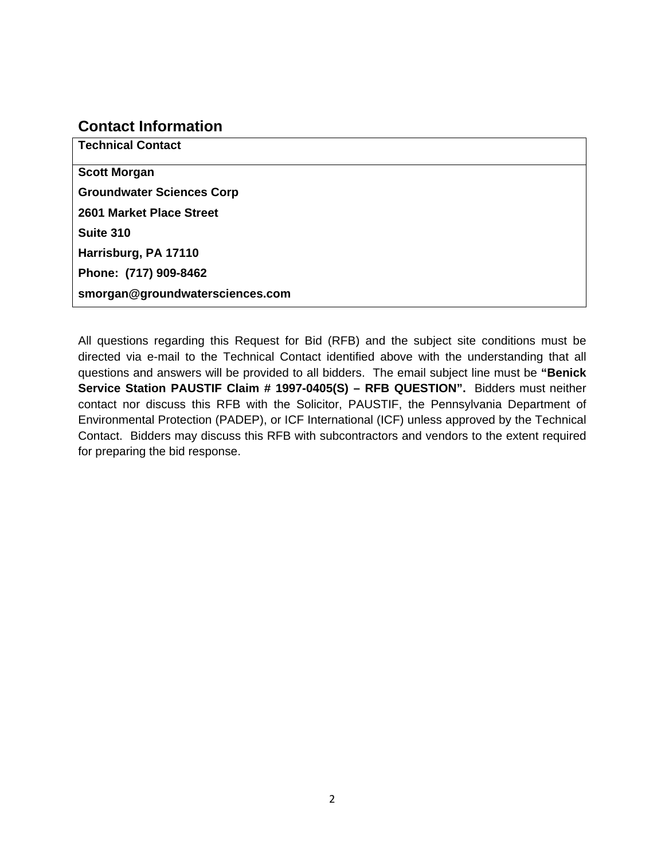## **Contact Information**

**Technical Contact Scott Morgan Groundwater Sciences Corp 2601 Market Place Street Suite 310 Harrisburg, PA 17110 Phone: (717) 909-8462 smorgan@groundwatersciences.com** 

All questions regarding this Request for Bid (RFB) and the subject site conditions must be directed via e-mail to the Technical Contact identified above with the understanding that all questions and answers will be provided to all bidders. The email subject line must be **"Benick Service Station PAUSTIF Claim # 1997-0405(S) – RFB QUESTION".** Bidders must neither contact nor discuss this RFB with the Solicitor, PAUSTIF, the Pennsylvania Department of Environmental Protection (PADEP), or ICF International (ICF) unless approved by the Technical Contact. Bidders may discuss this RFB with subcontractors and vendors to the extent required for preparing the bid response.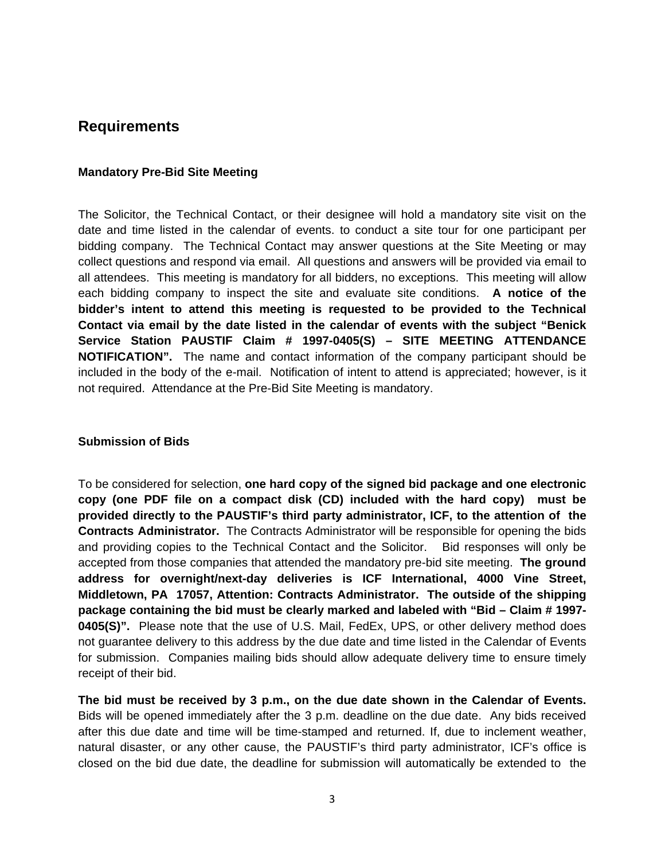## **Requirements**

### **Mandatory Pre-Bid Site Meeting**

The Solicitor, the Technical Contact, or their designee will hold a mandatory site visit on the date and time listed in the calendar of events. to conduct a site tour for one participant per bidding company. The Technical Contact may answer questions at the Site Meeting or may collect questions and respond via email. All questions and answers will be provided via email to all attendees. This meeting is mandatory for all bidders, no exceptions. This meeting will allow each bidding company to inspect the site and evaluate site conditions. **A notice of the bidder's intent to attend this meeting is requested to be provided to the Technical Contact via email by the date listed in the calendar of events with the subject "Benick Service Station PAUSTIF Claim # 1997-0405(S) – SITE MEETING ATTENDANCE NOTIFICATION".** The name and contact information of the company participant should be included in the body of the e-mail. Notification of intent to attend is appreciated; however, is it not required. Attendance at the Pre-Bid Site Meeting is mandatory.

### **Submission of Bids**

To be considered for selection, **one hard copy of the signed bid package and one electronic copy (one PDF file on a compact disk (CD) included with the hard copy) must be provided directly to the PAUSTIF's third party administrator, ICF, to the attention of the Contracts Administrator.** The Contracts Administrator will be responsible for opening the bids and providing copies to the Technical Contact and the Solicitor. Bid responses will only be accepted from those companies that attended the mandatory pre-bid site meeting. **The ground address for overnight/next-day deliveries is ICF International, 4000 Vine Street, Middletown, PA 17057, Attention: Contracts Administrator. The outside of the shipping package containing the bid must be clearly marked and labeled with "Bid – Claim # 1997- 0405(S)".** Please note that the use of U.S. Mail, FedEx, UPS, or other delivery method does not guarantee delivery to this address by the due date and time listed in the Calendar of Events for submission. Companies mailing bids should allow adequate delivery time to ensure timely receipt of their bid.

**The bid must be received by 3 p.m., on the due date shown in the Calendar of Events.** Bids will be opened immediately after the 3 p.m. deadline on the due date. Any bids received after this due date and time will be time-stamped and returned. If, due to inclement weather, natural disaster, or any other cause, the PAUSTIF's third party administrator, ICF's office is closed on the bid due date, the deadline for submission will automatically be extended to the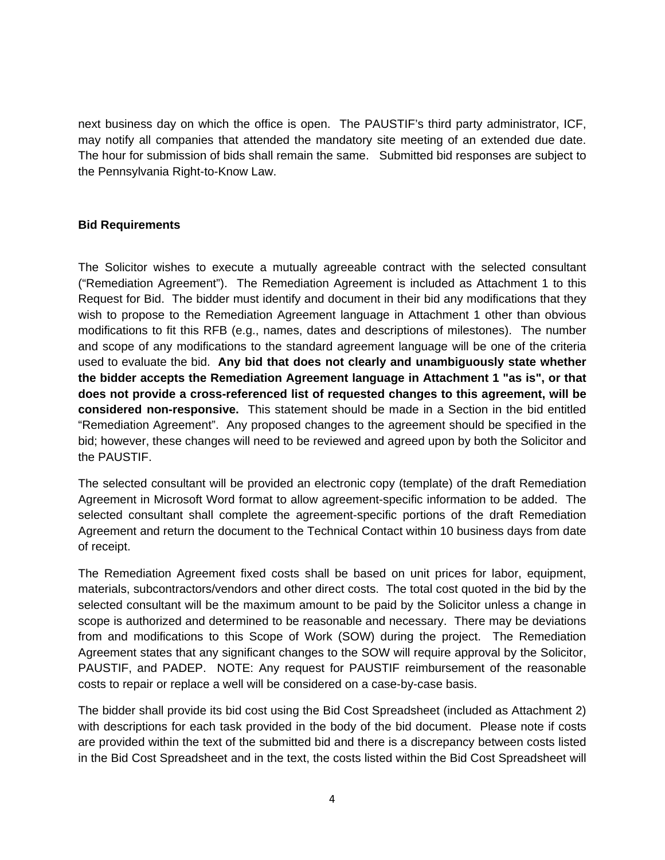next business day on which the office is open. The PAUSTIF's third party administrator, ICF, may notify all companies that attended the mandatory site meeting of an extended due date. The hour for submission of bids shall remain the same. Submitted bid responses are subject to the Pennsylvania Right-to-Know Law.

### **Bid Requirements**

The Solicitor wishes to execute a mutually agreeable contract with the selected consultant ("Remediation Agreement"). The Remediation Agreement is included as Attachment 1 to this Request for Bid. The bidder must identify and document in their bid any modifications that they wish to propose to the Remediation Agreement language in Attachment 1 other than obvious modifications to fit this RFB (e.g., names, dates and descriptions of milestones). The number and scope of any modifications to the standard agreement language will be one of the criteria used to evaluate the bid. **Any bid that does not clearly and unambiguously state whether the bidder accepts the Remediation Agreement language in Attachment 1 "as is", or that does not provide a cross-referenced list of requested changes to this agreement, will be considered non-responsive.** This statement should be made in a Section in the bid entitled "Remediation Agreement". Any proposed changes to the agreement should be specified in the bid; however, these changes will need to be reviewed and agreed upon by both the Solicitor and the PAUSTIF.

The selected consultant will be provided an electronic copy (template) of the draft Remediation Agreement in Microsoft Word format to allow agreement-specific information to be added. The selected consultant shall complete the agreement-specific portions of the draft Remediation Agreement and return the document to the Technical Contact within 10 business days from date of receipt.

The Remediation Agreement fixed costs shall be based on unit prices for labor, equipment, materials, subcontractors/vendors and other direct costs. The total cost quoted in the bid by the selected consultant will be the maximum amount to be paid by the Solicitor unless a change in scope is authorized and determined to be reasonable and necessary. There may be deviations from and modifications to this Scope of Work (SOW) during the project. The Remediation Agreement states that any significant changes to the SOW will require approval by the Solicitor, PAUSTIF, and PADEP. NOTE: Any request for PAUSTIF reimbursement of the reasonable costs to repair or replace a well will be considered on a case-by-case basis.

The bidder shall provide its bid cost using the Bid Cost Spreadsheet (included as Attachment 2) with descriptions for each task provided in the body of the bid document. Please note if costs are provided within the text of the submitted bid and there is a discrepancy between costs listed in the Bid Cost Spreadsheet and in the text, the costs listed within the Bid Cost Spreadsheet will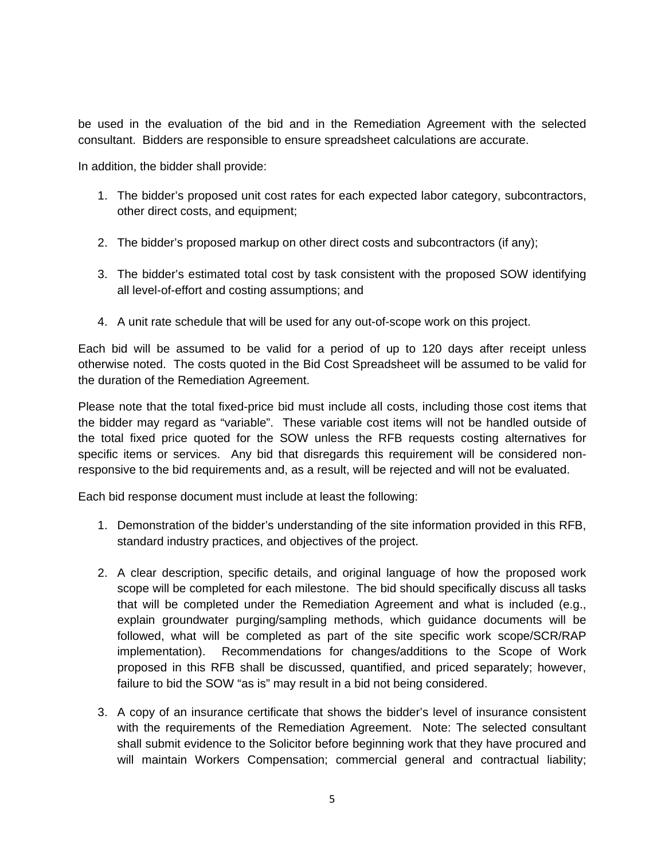be used in the evaluation of the bid and in the Remediation Agreement with the selected consultant. Bidders are responsible to ensure spreadsheet calculations are accurate.

In addition, the bidder shall provide:

- 1. The bidder's proposed unit cost rates for each expected labor category, subcontractors, other direct costs, and equipment;
- 2. The bidder's proposed markup on other direct costs and subcontractors (if any);
- 3. The bidder's estimated total cost by task consistent with the proposed SOW identifying all level-of-effort and costing assumptions; and
- 4. A unit rate schedule that will be used for any out-of-scope work on this project.

Each bid will be assumed to be valid for a period of up to 120 days after receipt unless otherwise noted. The costs quoted in the Bid Cost Spreadsheet will be assumed to be valid for the duration of the Remediation Agreement.

Please note that the total fixed-price bid must include all costs, including those cost items that the bidder may regard as "variable". These variable cost items will not be handled outside of the total fixed price quoted for the SOW unless the RFB requests costing alternatives for specific items or services. Any bid that disregards this requirement will be considered nonresponsive to the bid requirements and, as a result, will be rejected and will not be evaluated.

Each bid response document must include at least the following:

- 1. Demonstration of the bidder's understanding of the site information provided in this RFB, standard industry practices, and objectives of the project.
- 2. A clear description, specific details, and original language of how the proposed work scope will be completed for each milestone. The bid should specifically discuss all tasks that will be completed under the Remediation Agreement and what is included (e.g., explain groundwater purging/sampling methods, which guidance documents will be followed, what will be completed as part of the site specific work scope/SCR/RAP implementation). Recommendations for changes/additions to the Scope of Work proposed in this RFB shall be discussed, quantified, and priced separately; however, failure to bid the SOW "as is" may result in a bid not being considered.
- 3. A copy of an insurance certificate that shows the bidder's level of insurance consistent with the requirements of the Remediation Agreement. Note: The selected consultant shall submit evidence to the Solicitor before beginning work that they have procured and will maintain Workers Compensation; commercial general and contractual liability;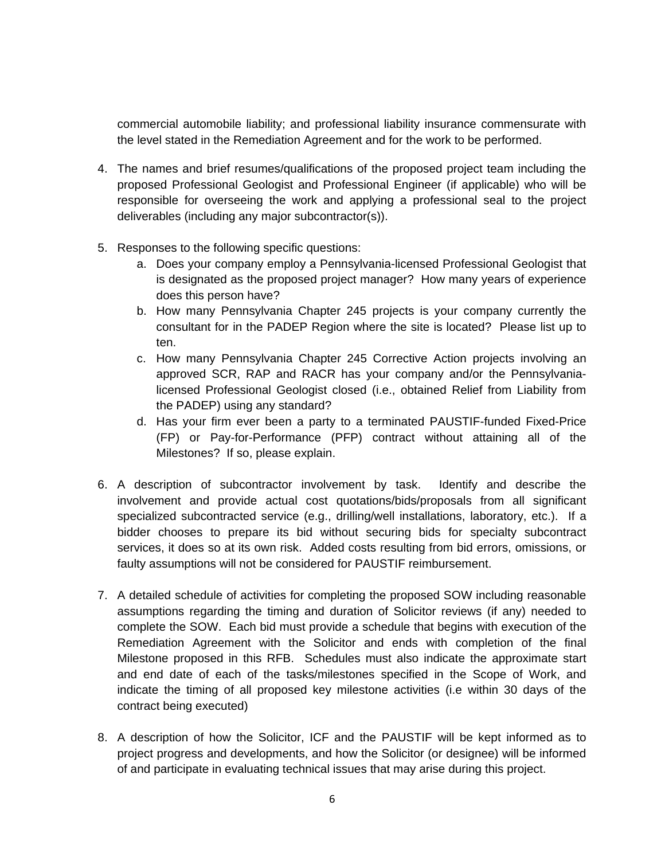commercial automobile liability; and professional liability insurance commensurate with the level stated in the Remediation Agreement and for the work to be performed.

- 4. The names and brief resumes/qualifications of the proposed project team including the proposed Professional Geologist and Professional Engineer (if applicable) who will be responsible for overseeing the work and applying a professional seal to the project deliverables (including any major subcontractor(s)).
- 5. Responses to the following specific questions:
	- a. Does your company employ a Pennsylvania-licensed Professional Geologist that is designated as the proposed project manager? How many years of experience does this person have?
	- b. How many Pennsylvania Chapter 245 projects is your company currently the consultant for in the PADEP Region where the site is located? Please list up to ten.
	- c. How many Pennsylvania Chapter 245 Corrective Action projects involving an approved SCR, RAP and RACR has your company and/or the Pennsylvanialicensed Professional Geologist closed (i.e., obtained Relief from Liability from the PADEP) using any standard?
	- d. Has your firm ever been a party to a terminated PAUSTIF-funded Fixed-Price (FP) or Pay-for-Performance (PFP) contract without attaining all of the Milestones? If so, please explain.
- 6. A description of subcontractor involvement by task. Identify and describe the involvement and provide actual cost quotations/bids/proposals from all significant specialized subcontracted service (e.g., drilling/well installations, laboratory, etc.). If a bidder chooses to prepare its bid without securing bids for specialty subcontract services, it does so at its own risk. Added costs resulting from bid errors, omissions, or faulty assumptions will not be considered for PAUSTIF reimbursement.
- 7. A detailed schedule of activities for completing the proposed SOW including reasonable assumptions regarding the timing and duration of Solicitor reviews (if any) needed to complete the SOW. Each bid must provide a schedule that begins with execution of the Remediation Agreement with the Solicitor and ends with completion of the final Milestone proposed in this RFB. Schedules must also indicate the approximate start and end date of each of the tasks/milestones specified in the Scope of Work, and indicate the timing of all proposed key milestone activities (i.e within 30 days of the contract being executed)
- 8. A description of how the Solicitor, ICF and the PAUSTIF will be kept informed as to project progress and developments, and how the Solicitor (or designee) will be informed of and participate in evaluating technical issues that may arise during this project.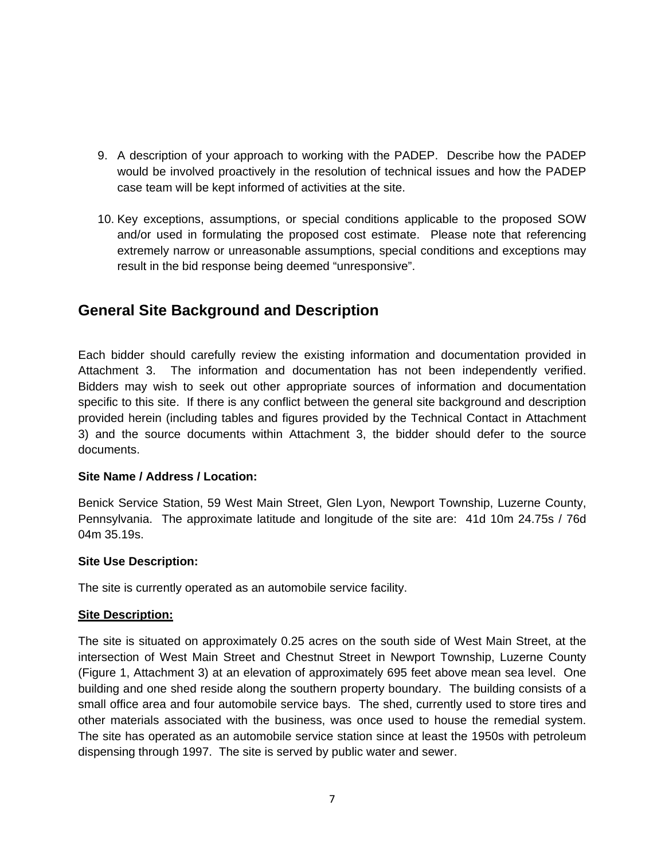- 9. A description of your approach to working with the PADEP. Describe how the PADEP would be involved proactively in the resolution of technical issues and how the PADEP case team will be kept informed of activities at the site.
- 10. Key exceptions, assumptions, or special conditions applicable to the proposed SOW and/or used in formulating the proposed cost estimate. Please note that referencing extremely narrow or unreasonable assumptions, special conditions and exceptions may result in the bid response being deemed "unresponsive".

# **General Site Background and Description**

Each bidder should carefully review the existing information and documentation provided in Attachment 3. The information and documentation has not been independently verified. Bidders may wish to seek out other appropriate sources of information and documentation specific to this site. If there is any conflict between the general site background and description provided herein (including tables and figures provided by the Technical Contact in Attachment 3) and the source documents within Attachment 3, the bidder should defer to the source documents.

### **Site Name / Address / Location:**

Benick Service Station, 59 West Main Street, Glen Lyon, Newport Township, Luzerne County, Pennsylvania. The approximate latitude and longitude of the site are: 41d 10m 24.75s / 76d 04m 35.19s.

### **Site Use Description:**

The site is currently operated as an automobile service facility.

### **Site Description:**

The site is situated on approximately 0.25 acres on the south side of West Main Street, at the intersection of West Main Street and Chestnut Street in Newport Township, Luzerne County (Figure 1, Attachment 3) at an elevation of approximately 695 feet above mean sea level. One building and one shed reside along the southern property boundary. The building consists of a small office area and four automobile service bays. The shed, currently used to store tires and other materials associated with the business, was once used to house the remedial system. The site has operated as an automobile service station since at least the 1950s with petroleum dispensing through 1997. The site is served by public water and sewer.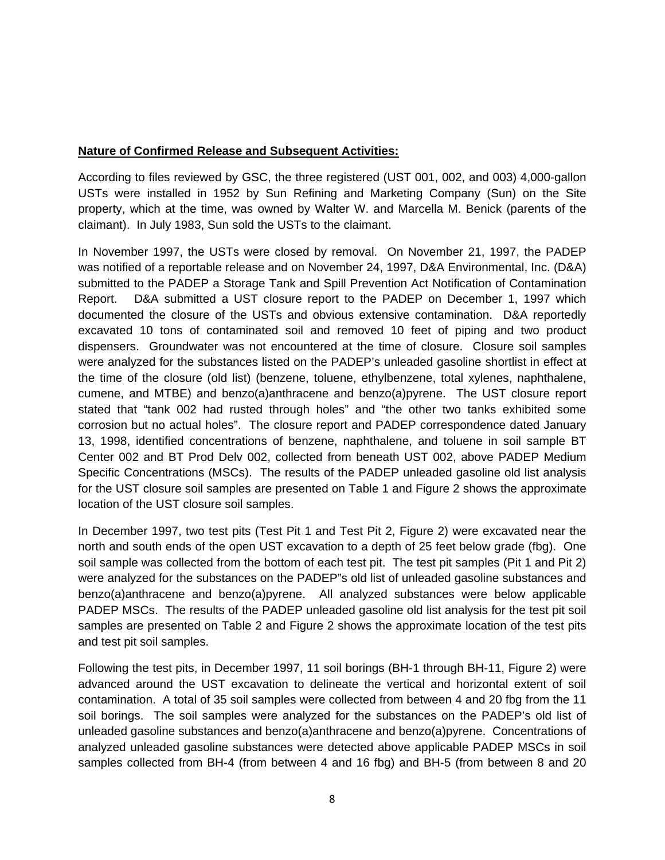### **Nature of Confirmed Release and Subsequent Activities:**

According to files reviewed by GSC, the three registered (UST 001, 002, and 003) 4,000-gallon USTs were installed in 1952 by Sun Refining and Marketing Company (Sun) on the Site property, which at the time, was owned by Walter W. and Marcella M. Benick (parents of the claimant). In July 1983, Sun sold the USTs to the claimant.

In November 1997, the USTs were closed by removal. On November 21, 1997, the PADEP was notified of a reportable release and on November 24, 1997, D&A Environmental, Inc. (D&A) submitted to the PADEP a Storage Tank and Spill Prevention Act Notification of Contamination Report. D&A submitted a UST closure report to the PADEP on December 1, 1997 which documented the closure of the USTs and obvious extensive contamination. D&A reportedly excavated 10 tons of contaminated soil and removed 10 feet of piping and two product dispensers. Groundwater was not encountered at the time of closure. Closure soil samples were analyzed for the substances listed on the PADEP's unleaded gasoline shortlist in effect at the time of the closure (old list) (benzene, toluene, ethylbenzene, total xylenes, naphthalene, cumene, and MTBE) and benzo(a)anthracene and benzo(a)pyrene. The UST closure report stated that "tank 002 had rusted through holes" and "the other two tanks exhibited some corrosion but no actual holes". The closure report and PADEP correspondence dated January 13, 1998, identified concentrations of benzene, naphthalene, and toluene in soil sample BT Center 002 and BT Prod Delv 002, collected from beneath UST 002, above PADEP Medium Specific Concentrations (MSCs). The results of the PADEP unleaded gasoline old list analysis for the UST closure soil samples are presented on Table 1 and Figure 2 shows the approximate location of the UST closure soil samples.

In December 1997, two test pits (Test Pit 1 and Test Pit 2, Figure 2) were excavated near the north and south ends of the open UST excavation to a depth of 25 feet below grade (fbg). One soil sample was collected from the bottom of each test pit. The test pit samples (Pit 1 and Pit 2) were analyzed for the substances on the PADEP"s old list of unleaded gasoline substances and benzo(a)anthracene and benzo(a)pyrene. All analyzed substances were below applicable PADEP MSCs. The results of the PADEP unleaded gasoline old list analysis for the test pit soil samples are presented on Table 2 and Figure 2 shows the approximate location of the test pits and test pit soil samples.

Following the test pits, in December 1997, 11 soil borings (BH-1 through BH-11, Figure 2) were advanced around the UST excavation to delineate the vertical and horizontal extent of soil contamination. A total of 35 soil samples were collected from between 4 and 20 fbg from the 11 soil borings. The soil samples were analyzed for the substances on the PADEP's old list of unleaded gasoline substances and benzo(a)anthracene and benzo(a)pyrene. Concentrations of analyzed unleaded gasoline substances were detected above applicable PADEP MSCs in soil samples collected from BH-4 (from between 4 and 16 fbg) and BH-5 (from between 8 and 20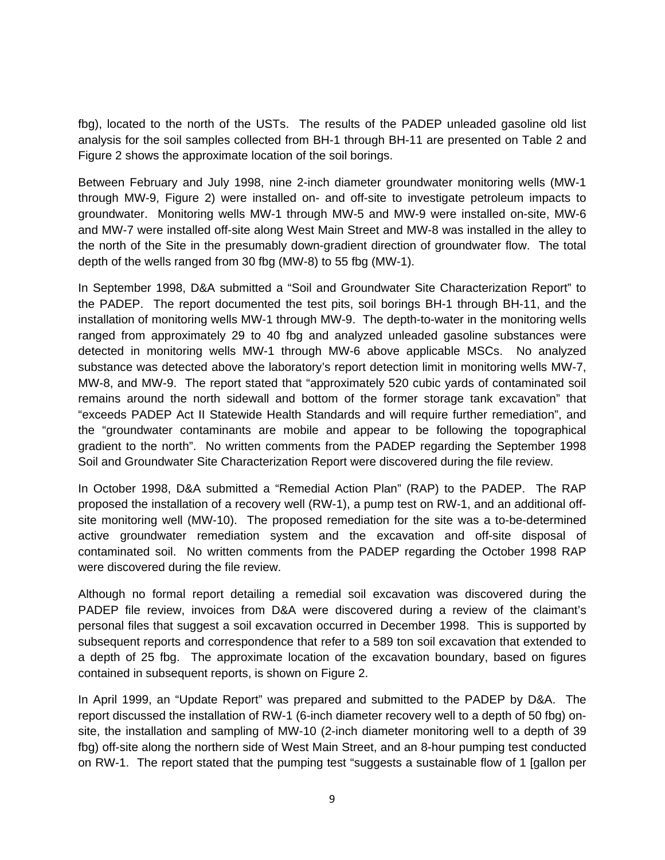fbg), located to the north of the USTs. The results of the PADEP unleaded gasoline old list analysis for the soil samples collected from BH-1 through BH-11 are presented on Table 2 and Figure 2 shows the approximate location of the soil borings.

Between February and July 1998, nine 2-inch diameter groundwater monitoring wells (MW-1 through MW-9, Figure 2) were installed on- and off-site to investigate petroleum impacts to groundwater. Monitoring wells MW-1 through MW-5 and MW-9 were installed on-site, MW-6 and MW-7 were installed off-site along West Main Street and MW-8 was installed in the alley to the north of the Site in the presumably down-gradient direction of groundwater flow. The total depth of the wells ranged from 30 fbg (MW-8) to 55 fbg (MW-1).

In September 1998, D&A submitted a "Soil and Groundwater Site Characterization Report" to the PADEP. The report documented the test pits, soil borings BH-1 through BH-11, and the installation of monitoring wells MW-1 through MW-9. The depth-to-water in the monitoring wells ranged from approximately 29 to 40 fbg and analyzed unleaded gasoline substances were detected in monitoring wells MW-1 through MW-6 above applicable MSCs. No analyzed substance was detected above the laboratory's report detection limit in monitoring wells MW-7, MW-8, and MW-9. The report stated that "approximately 520 cubic yards of contaminated soil remains around the north sidewall and bottom of the former storage tank excavation" that "exceeds PADEP Act II Statewide Health Standards and will require further remediation", and the "groundwater contaminants are mobile and appear to be following the topographical gradient to the north". No written comments from the PADEP regarding the September 1998 Soil and Groundwater Site Characterization Report were discovered during the file review.

In October 1998, D&A submitted a "Remedial Action Plan" (RAP) to the PADEP. The RAP proposed the installation of a recovery well (RW-1), a pump test on RW-1, and an additional offsite monitoring well (MW-10). The proposed remediation for the site was a to-be-determined active groundwater remediation system and the excavation and off-site disposal of contaminated soil. No written comments from the PADEP regarding the October 1998 RAP were discovered during the file review.

Although no formal report detailing a remedial soil excavation was discovered during the PADEP file review, invoices from D&A were discovered during a review of the claimant's personal files that suggest a soil excavation occurred in December 1998. This is supported by subsequent reports and correspondence that refer to a 589 ton soil excavation that extended to a depth of 25 fbg. The approximate location of the excavation boundary, based on figures contained in subsequent reports, is shown on Figure 2.

In April 1999, an "Update Report" was prepared and submitted to the PADEP by D&A. The report discussed the installation of RW-1 (6-inch diameter recovery well to a depth of 50 fbg) onsite, the installation and sampling of MW-10 (2-inch diameter monitoring well to a depth of 39 fbg) off-site along the northern side of West Main Street, and an 8-hour pumping test conducted on RW-1. The report stated that the pumping test "suggests a sustainable flow of 1 [gallon per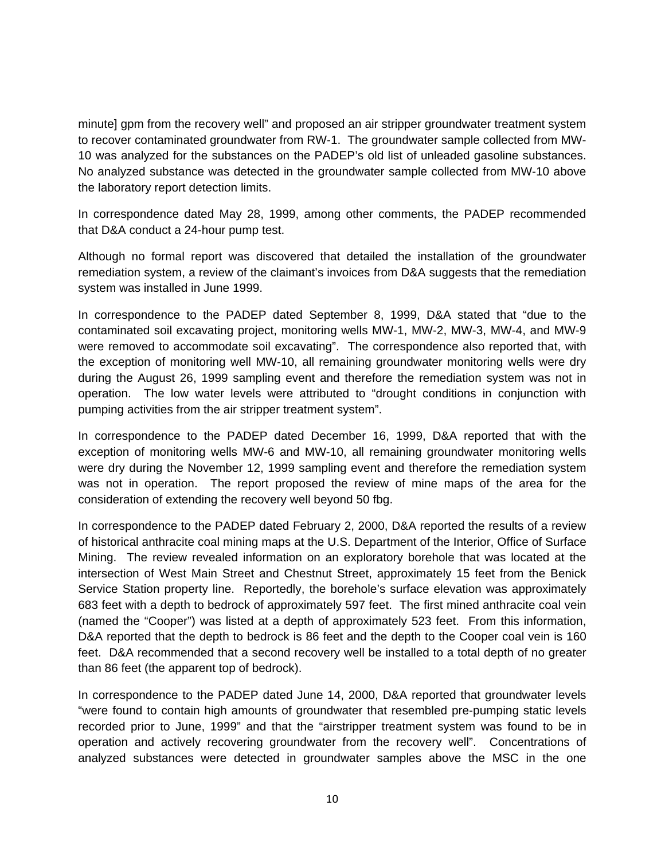minute] gpm from the recovery well" and proposed an air stripper groundwater treatment system to recover contaminated groundwater from RW-1. The groundwater sample collected from MW-10 was analyzed for the substances on the PADEP's old list of unleaded gasoline substances. No analyzed substance was detected in the groundwater sample collected from MW-10 above the laboratory report detection limits.

In correspondence dated May 28, 1999, among other comments, the PADEP recommended that D&A conduct a 24-hour pump test.

Although no formal report was discovered that detailed the installation of the groundwater remediation system, a review of the claimant's invoices from D&A suggests that the remediation system was installed in June 1999.

In correspondence to the PADEP dated September 8, 1999, D&A stated that "due to the contaminated soil excavating project, monitoring wells MW-1, MW-2, MW-3, MW-4, and MW-9 were removed to accommodate soil excavating". The correspondence also reported that, with the exception of monitoring well MW-10, all remaining groundwater monitoring wells were dry during the August 26, 1999 sampling event and therefore the remediation system was not in operation. The low water levels were attributed to "drought conditions in conjunction with pumping activities from the air stripper treatment system".

In correspondence to the PADEP dated December 16, 1999, D&A reported that with the exception of monitoring wells MW-6 and MW-10, all remaining groundwater monitoring wells were dry during the November 12, 1999 sampling event and therefore the remediation system was not in operation. The report proposed the review of mine maps of the area for the consideration of extending the recovery well beyond 50 fbg.

In correspondence to the PADEP dated February 2, 2000, D&A reported the results of a review of historical anthracite coal mining maps at the U.S. Department of the Interior, Office of Surface Mining. The review revealed information on an exploratory borehole that was located at the intersection of West Main Street and Chestnut Street, approximately 15 feet from the Benick Service Station property line. Reportedly, the borehole's surface elevation was approximately 683 feet with a depth to bedrock of approximately 597 feet. The first mined anthracite coal vein (named the "Cooper") was listed at a depth of approximately 523 feet. From this information, D&A reported that the depth to bedrock is 86 feet and the depth to the Cooper coal vein is 160 feet. D&A recommended that a second recovery well be installed to a total depth of no greater than 86 feet (the apparent top of bedrock).

In correspondence to the PADEP dated June 14, 2000, D&A reported that groundwater levels "were found to contain high amounts of groundwater that resembled pre-pumping static levels recorded prior to June, 1999" and that the "airstripper treatment system was found to be in operation and actively recovering groundwater from the recovery well". Concentrations of analyzed substances were detected in groundwater samples above the MSC in the one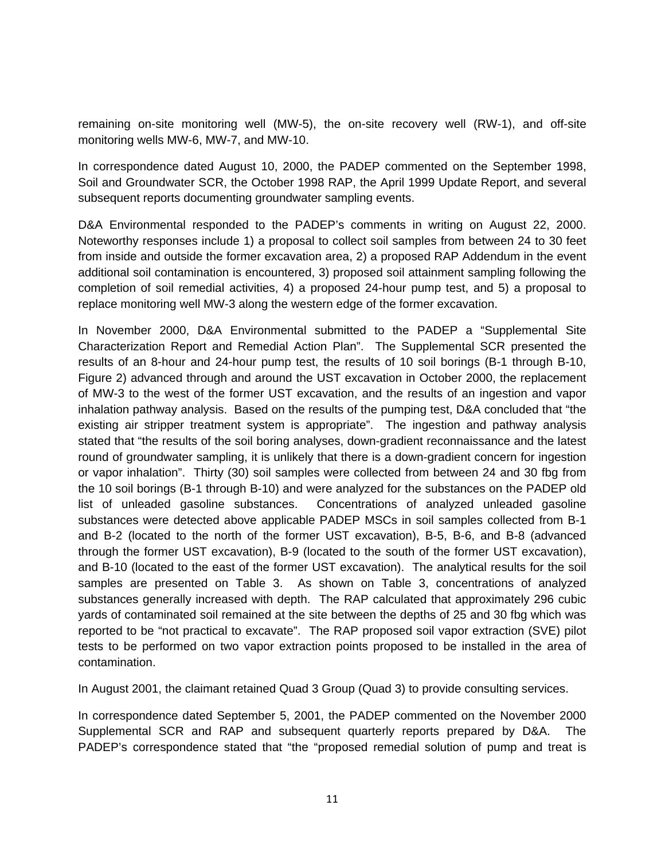remaining on-site monitoring well (MW-5), the on-site recovery well (RW-1), and off-site monitoring wells MW-6, MW-7, and MW-10.

In correspondence dated August 10, 2000, the PADEP commented on the September 1998, Soil and Groundwater SCR, the October 1998 RAP, the April 1999 Update Report, and several subsequent reports documenting groundwater sampling events.

D&A Environmental responded to the PADEP's comments in writing on August 22, 2000. Noteworthy responses include 1) a proposal to collect soil samples from between 24 to 30 feet from inside and outside the former excavation area, 2) a proposed RAP Addendum in the event additional soil contamination is encountered, 3) proposed soil attainment sampling following the completion of soil remedial activities, 4) a proposed 24-hour pump test, and 5) a proposal to replace monitoring well MW-3 along the western edge of the former excavation.

In November 2000, D&A Environmental submitted to the PADEP a "Supplemental Site Characterization Report and Remedial Action Plan". The Supplemental SCR presented the results of an 8-hour and 24-hour pump test, the results of 10 soil borings (B-1 through B-10, Figure 2) advanced through and around the UST excavation in October 2000, the replacement of MW-3 to the west of the former UST excavation, and the results of an ingestion and vapor inhalation pathway analysis. Based on the results of the pumping test, D&A concluded that "the existing air stripper treatment system is appropriate". The ingestion and pathway analysis stated that "the results of the soil boring analyses, down-gradient reconnaissance and the latest round of groundwater sampling, it is unlikely that there is a down-gradient concern for ingestion or vapor inhalation". Thirty (30) soil samples were collected from between 24 and 30 fbg from the 10 soil borings (B-1 through B-10) and were analyzed for the substances on the PADEP old list of unleaded gasoline substances. Concentrations of analyzed unleaded gasoline substances were detected above applicable PADEP MSCs in soil samples collected from B-1 and B-2 (located to the north of the former UST excavation), B-5, B-6, and B-8 (advanced through the former UST excavation), B-9 (located to the south of the former UST excavation), and B-10 (located to the east of the former UST excavation). The analytical results for the soil samples are presented on Table 3. As shown on Table 3, concentrations of analyzed substances generally increased with depth. The RAP calculated that approximately 296 cubic yards of contaminated soil remained at the site between the depths of 25 and 30 fbg which was reported to be "not practical to excavate". The RAP proposed soil vapor extraction (SVE) pilot tests to be performed on two vapor extraction points proposed to be installed in the area of contamination.

In August 2001, the claimant retained Quad 3 Group (Quad 3) to provide consulting services.

In correspondence dated September 5, 2001, the PADEP commented on the November 2000 Supplemental SCR and RAP and subsequent quarterly reports prepared by D&A. The PADEP's correspondence stated that "the "proposed remedial solution of pump and treat is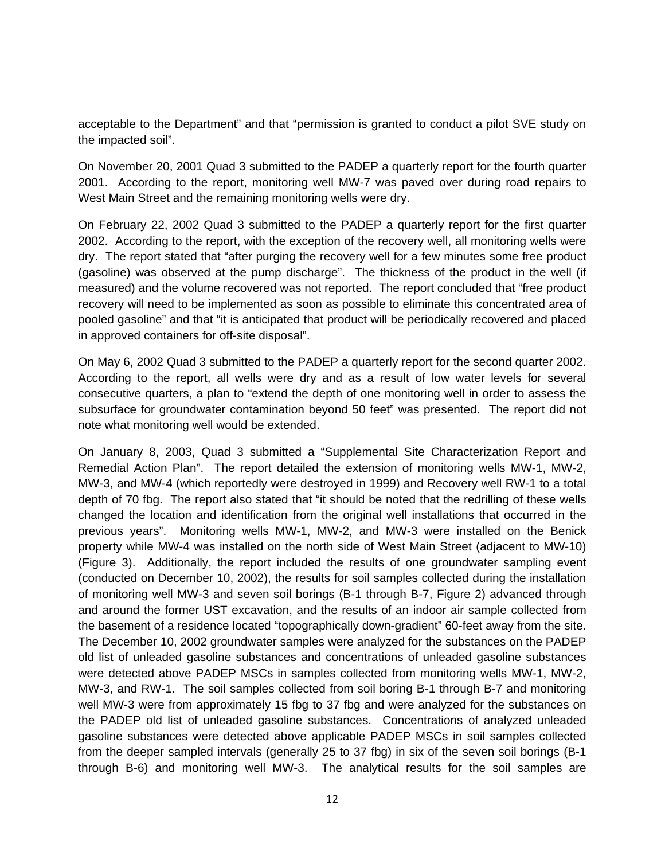acceptable to the Department" and that "permission is granted to conduct a pilot SVE study on the impacted soil".

On November 20, 2001 Quad 3 submitted to the PADEP a quarterly report for the fourth quarter 2001. According to the report, monitoring well MW-7 was paved over during road repairs to West Main Street and the remaining monitoring wells were dry.

On February 22, 2002 Quad 3 submitted to the PADEP a quarterly report for the first quarter 2002. According to the report, with the exception of the recovery well, all monitoring wells were dry. The report stated that "after purging the recovery well for a few minutes some free product (gasoline) was observed at the pump discharge". The thickness of the product in the well (if measured) and the volume recovered was not reported. The report concluded that "free product recovery will need to be implemented as soon as possible to eliminate this concentrated area of pooled gasoline" and that "it is anticipated that product will be periodically recovered and placed in approved containers for off-site disposal".

On May 6, 2002 Quad 3 submitted to the PADEP a quarterly report for the second quarter 2002. According to the report, all wells were dry and as a result of low water levels for several consecutive quarters, a plan to "extend the depth of one monitoring well in order to assess the subsurface for groundwater contamination beyond 50 feet" was presented. The report did not note what monitoring well would be extended.

On January 8, 2003, Quad 3 submitted a "Supplemental Site Characterization Report and Remedial Action Plan". The report detailed the extension of monitoring wells MW-1, MW-2, MW-3, and MW-4 (which reportedly were destroyed in 1999) and Recovery well RW-1 to a total depth of 70 fbg. The report also stated that "it should be noted that the redrilling of these wells changed the location and identification from the original well installations that occurred in the previous years". Monitoring wells MW-1, MW-2, and MW-3 were installed on the Benick property while MW-4 was installed on the north side of West Main Street (adjacent to MW-10) (Figure 3). Additionally, the report included the results of one groundwater sampling event (conducted on December 10, 2002), the results for soil samples collected during the installation of monitoring well MW-3 and seven soil borings (B-1 through B-7, Figure 2) advanced through and around the former UST excavation, and the results of an indoor air sample collected from the basement of a residence located "topographically down-gradient" 60-feet away from the site. The December 10, 2002 groundwater samples were analyzed for the substances on the PADEP old list of unleaded gasoline substances and concentrations of unleaded gasoline substances were detected above PADEP MSCs in samples collected from monitoring wells MW-1, MW-2, MW-3, and RW-1. The soil samples collected from soil boring B-1 through B-7 and monitoring well MW-3 were from approximately 15 fbg to 37 fbg and were analyzed for the substances on the PADEP old list of unleaded gasoline substances. Concentrations of analyzed unleaded gasoline substances were detected above applicable PADEP MSCs in soil samples collected from the deeper sampled intervals (generally 25 to 37 fbg) in six of the seven soil borings (B-1 through B-6) and monitoring well MW-3. The analytical results for the soil samples are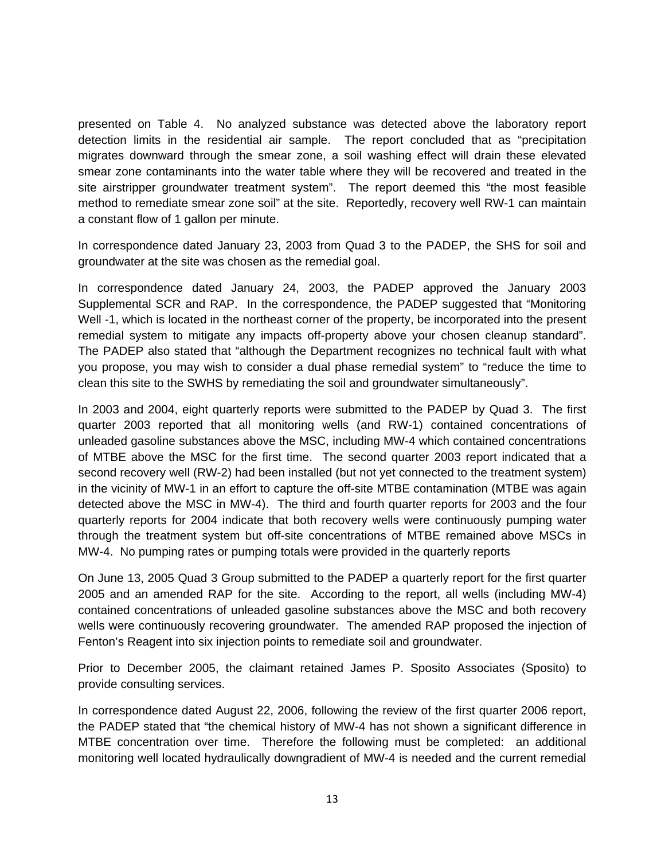presented on Table 4. No analyzed substance was detected above the laboratory report detection limits in the residential air sample. The report concluded that as "precipitation migrates downward through the smear zone, a soil washing effect will drain these elevated smear zone contaminants into the water table where they will be recovered and treated in the site airstripper groundwater treatment system". The report deemed this "the most feasible method to remediate smear zone soil" at the site. Reportedly, recovery well RW-1 can maintain a constant flow of 1 gallon per minute.

In correspondence dated January 23, 2003 from Quad 3 to the PADEP, the SHS for soil and groundwater at the site was chosen as the remedial goal.

In correspondence dated January 24, 2003, the PADEP approved the January 2003 Supplemental SCR and RAP. In the correspondence, the PADEP suggested that "Monitoring Well -1, which is located in the northeast corner of the property, be incorporated into the present remedial system to mitigate any impacts off-property above your chosen cleanup standard". The PADEP also stated that "although the Department recognizes no technical fault with what you propose, you may wish to consider a dual phase remedial system" to "reduce the time to clean this site to the SWHS by remediating the soil and groundwater simultaneously".

In 2003 and 2004, eight quarterly reports were submitted to the PADEP by Quad 3. The first quarter 2003 reported that all monitoring wells (and RW-1) contained concentrations of unleaded gasoline substances above the MSC, including MW-4 which contained concentrations of MTBE above the MSC for the first time. The second quarter 2003 report indicated that a second recovery well (RW-2) had been installed (but not yet connected to the treatment system) in the vicinity of MW-1 in an effort to capture the off-site MTBE contamination (MTBE was again detected above the MSC in MW-4). The third and fourth quarter reports for 2003 and the four quarterly reports for 2004 indicate that both recovery wells were continuously pumping water through the treatment system but off-site concentrations of MTBE remained above MSCs in MW-4. No pumping rates or pumping totals were provided in the quarterly reports

On June 13, 2005 Quad 3 Group submitted to the PADEP a quarterly report for the first quarter 2005 and an amended RAP for the site. According to the report, all wells (including MW-4) contained concentrations of unleaded gasoline substances above the MSC and both recovery wells were continuously recovering groundwater. The amended RAP proposed the injection of Fenton's Reagent into six injection points to remediate soil and groundwater.

Prior to December 2005, the claimant retained James P. Sposito Associates (Sposito) to provide consulting services.

In correspondence dated August 22, 2006, following the review of the first quarter 2006 report, the PADEP stated that "the chemical history of MW-4 has not shown a significant difference in MTBE concentration over time. Therefore the following must be completed: an additional monitoring well located hydraulically downgradient of MW-4 is needed and the current remedial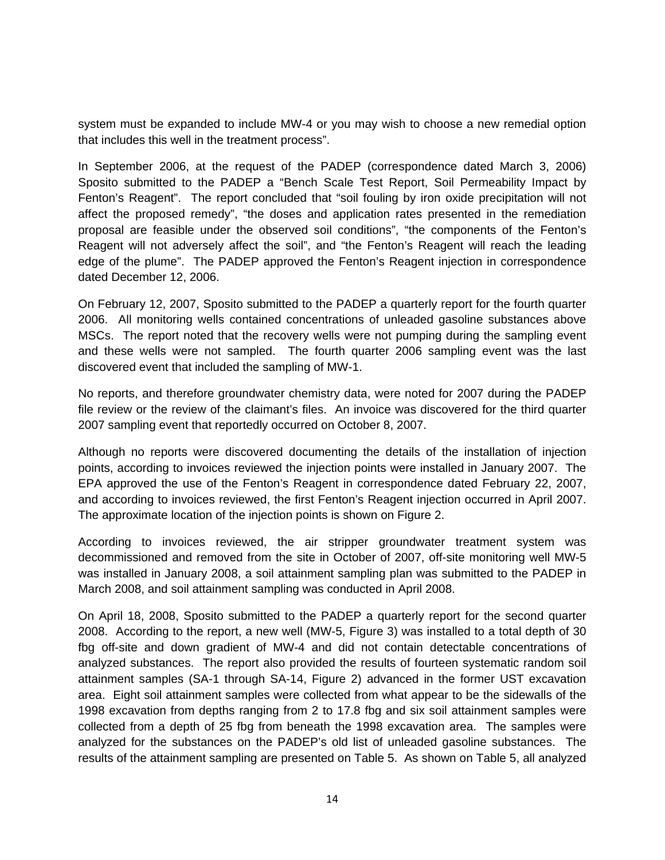system must be expanded to include MW-4 or you may wish to choose a new remedial option that includes this well in the treatment process".

In September 2006, at the request of the PADEP (correspondence dated March 3, 2006) Sposito submitted to the PADEP a "Bench Scale Test Report, Soil Permeability Impact by Fenton's Reagent". The report concluded that "soil fouling by iron oxide precipitation will not affect the proposed remedy", "the doses and application rates presented in the remediation proposal are feasible under the observed soil conditions", "the components of the Fenton's Reagent will not adversely affect the soil", and "the Fenton's Reagent will reach the leading edge of the plume". The PADEP approved the Fenton's Reagent injection in correspondence dated December 12, 2006.

On February 12, 2007, Sposito submitted to the PADEP a quarterly report for the fourth quarter 2006. All monitoring wells contained concentrations of unleaded gasoline substances above MSCs. The report noted that the recovery wells were not pumping during the sampling event and these wells were not sampled. The fourth quarter 2006 sampling event was the last discovered event that included the sampling of MW-1.

No reports, and therefore groundwater chemistry data, were noted for 2007 during the PADEP file review or the review of the claimant's files. An invoice was discovered for the third quarter 2007 sampling event that reportedly occurred on October 8, 2007.

Although no reports were discovered documenting the details of the installation of injection points, according to invoices reviewed the injection points were installed in January 2007. The EPA approved the use of the Fenton's Reagent in correspondence dated February 22, 2007, and according to invoices reviewed, the first Fenton's Reagent injection occurred in April 2007. The approximate location of the injection points is shown on Figure 2.

According to invoices reviewed, the air stripper groundwater treatment system was decommissioned and removed from the site in October of 2007, off-site monitoring well MW-5 was installed in January 2008, a soil attainment sampling plan was submitted to the PADEP in March 2008, and soil attainment sampling was conducted in April 2008.

On April 18, 2008, Sposito submitted to the PADEP a quarterly report for the second quarter 2008. According to the report, a new well (MW-5, Figure 3) was installed to a total depth of 30 fbg off-site and down gradient of MW-4 and did not contain detectable concentrations of analyzed substances. The report also provided the results of fourteen systematic random soil attainment samples (SA-1 through SA-14, Figure 2) advanced in the former UST excavation area. Eight soil attainment samples were collected from what appear to be the sidewalls of the 1998 excavation from depths ranging from 2 to 17.8 fbg and six soil attainment samples were collected from a depth of 25 fbg from beneath the 1998 excavation area. The samples were analyzed for the substances on the PADEP's old list of unleaded gasoline substances. The results of the attainment sampling are presented on Table 5. As shown on Table 5, all analyzed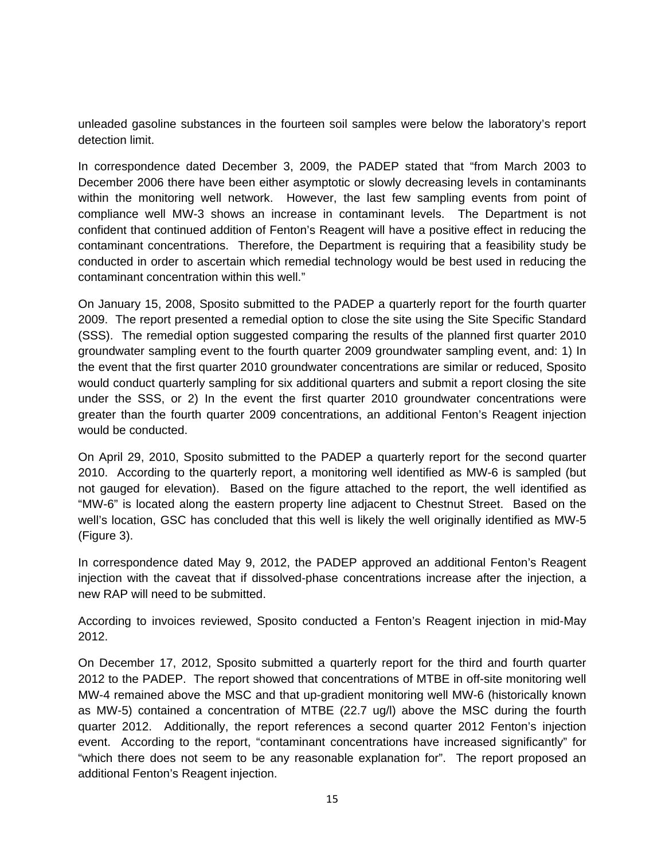unleaded gasoline substances in the fourteen soil samples were below the laboratory's report detection limit.

In correspondence dated December 3, 2009, the PADEP stated that "from March 2003 to December 2006 there have been either asymptotic or slowly decreasing levels in contaminants within the monitoring well network. However, the last few sampling events from point of compliance well MW-3 shows an increase in contaminant levels. The Department is not confident that continued addition of Fenton's Reagent will have a positive effect in reducing the contaminant concentrations. Therefore, the Department is requiring that a feasibility study be conducted in order to ascertain which remedial technology would be best used in reducing the contaminant concentration within this well."

On January 15, 2008, Sposito submitted to the PADEP a quarterly report for the fourth quarter 2009. The report presented a remedial option to close the site using the Site Specific Standard (SSS). The remedial option suggested comparing the results of the planned first quarter 2010 groundwater sampling event to the fourth quarter 2009 groundwater sampling event, and: 1) In the event that the first quarter 2010 groundwater concentrations are similar or reduced, Sposito would conduct quarterly sampling for six additional quarters and submit a report closing the site under the SSS, or 2) In the event the first quarter 2010 groundwater concentrations were greater than the fourth quarter 2009 concentrations, an additional Fenton's Reagent injection would be conducted.

On April 29, 2010, Sposito submitted to the PADEP a quarterly report for the second quarter 2010. According to the quarterly report, a monitoring well identified as MW-6 is sampled (but not gauged for elevation). Based on the figure attached to the report, the well identified as "MW-6" is located along the eastern property line adjacent to Chestnut Street. Based on the well's location, GSC has concluded that this well is likely the well originally identified as MW-5 (Figure 3).

In correspondence dated May 9, 2012, the PADEP approved an additional Fenton's Reagent injection with the caveat that if dissolved-phase concentrations increase after the injection, a new RAP will need to be submitted.

According to invoices reviewed, Sposito conducted a Fenton's Reagent injection in mid-May 2012.

On December 17, 2012, Sposito submitted a quarterly report for the third and fourth quarter 2012 to the PADEP. The report showed that concentrations of MTBE in off-site monitoring well MW-4 remained above the MSC and that up-gradient monitoring well MW-6 (historically known as MW-5) contained a concentration of MTBE (22.7 ug/l) above the MSC during the fourth quarter 2012. Additionally, the report references a second quarter 2012 Fenton's injection event. According to the report, "contaminant concentrations have increased significantly" for "which there does not seem to be any reasonable explanation for". The report proposed an additional Fenton's Reagent injection.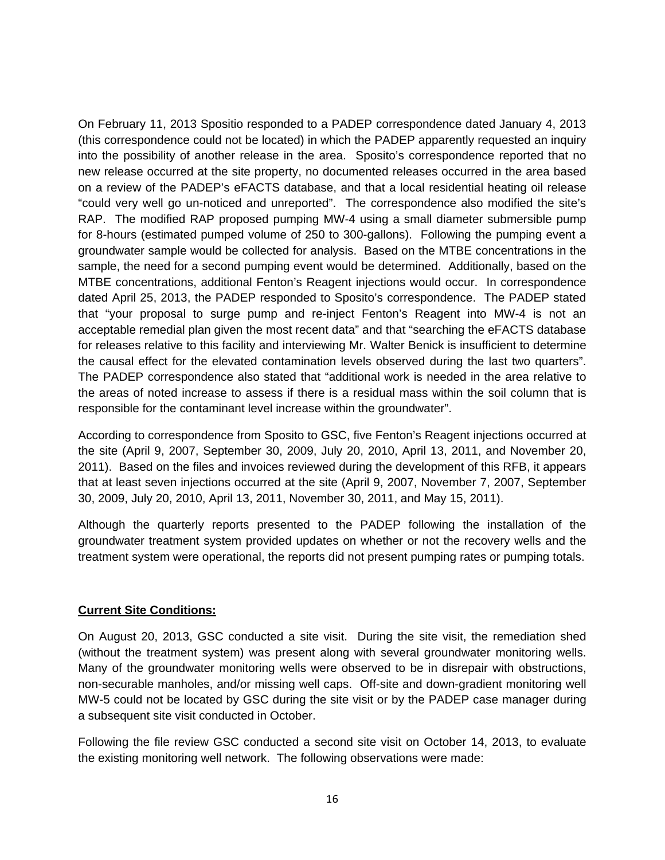On February 11, 2013 Spositio responded to a PADEP correspondence dated January 4, 2013 (this correspondence could not be located) in which the PADEP apparently requested an inquiry into the possibility of another release in the area. Sposito's correspondence reported that no new release occurred at the site property, no documented releases occurred in the area based on a review of the PADEP's eFACTS database, and that a local residential heating oil release "could very well go un-noticed and unreported". The correspondence also modified the site's RAP. The modified RAP proposed pumping MW-4 using a small diameter submersible pump for 8-hours (estimated pumped volume of 250 to 300-gallons). Following the pumping event a groundwater sample would be collected for analysis. Based on the MTBE concentrations in the sample, the need for a second pumping event would be determined. Additionally, based on the MTBE concentrations, additional Fenton's Reagent injections would occur. In correspondence dated April 25, 2013, the PADEP responded to Sposito's correspondence. The PADEP stated that "your proposal to surge pump and re-inject Fenton's Reagent into MW-4 is not an acceptable remedial plan given the most recent data" and that "searching the eFACTS database for releases relative to this facility and interviewing Mr. Walter Benick is insufficient to determine the causal effect for the elevated contamination levels observed during the last two quarters". The PADEP correspondence also stated that "additional work is needed in the area relative to the areas of noted increase to assess if there is a residual mass within the soil column that is responsible for the contaminant level increase within the groundwater".

According to correspondence from Sposito to GSC, five Fenton's Reagent injections occurred at the site (April 9, 2007, September 30, 2009, July 20, 2010, April 13, 2011, and November 20, 2011). Based on the files and invoices reviewed during the development of this RFB, it appears that at least seven injections occurred at the site (April 9, 2007, November 7, 2007, September 30, 2009, July 20, 2010, April 13, 2011, November 30, 2011, and May 15, 2011).

Although the quarterly reports presented to the PADEP following the installation of the groundwater treatment system provided updates on whether or not the recovery wells and the treatment system were operational, the reports did not present pumping rates or pumping totals.

### **Current Site Conditions:**

On August 20, 2013, GSC conducted a site visit. During the site visit, the remediation shed (without the treatment system) was present along with several groundwater monitoring wells. Many of the groundwater monitoring wells were observed to be in disrepair with obstructions, non-securable manholes, and/or missing well caps. Off-site and down-gradient monitoring well MW-5 could not be located by GSC during the site visit or by the PADEP case manager during a subsequent site visit conducted in October.

Following the file review GSC conducted a second site visit on October 14, 2013, to evaluate the existing monitoring well network. The following observations were made: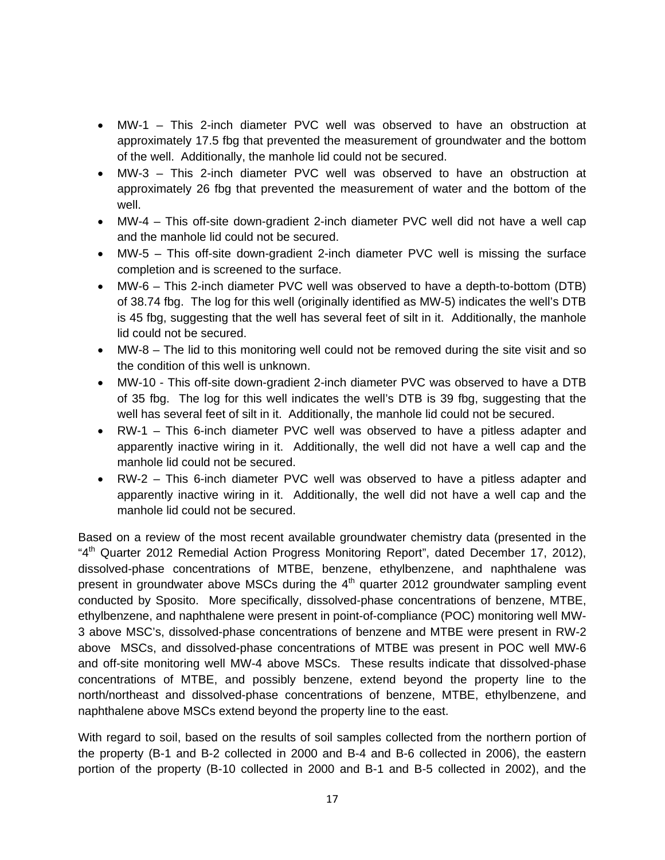- MW-1 This 2-inch diameter PVC well was observed to have an obstruction at approximately 17.5 fbg that prevented the measurement of groundwater and the bottom of the well. Additionally, the manhole lid could not be secured.
- MW-3 This 2-inch diameter PVC well was observed to have an obstruction at approximately 26 fbg that prevented the measurement of water and the bottom of the well.
- MW-4 This off-site down-gradient 2-inch diameter PVC well did not have a well cap and the manhole lid could not be secured.
- MW-5 This off-site down-gradient 2-inch diameter PVC well is missing the surface completion and is screened to the surface.
- MW-6 This 2-inch diameter PVC well was observed to have a depth-to-bottom (DTB) of 38.74 fbg. The log for this well (originally identified as MW-5) indicates the well's DTB is 45 fbg, suggesting that the well has several feet of silt in it. Additionally, the manhole lid could not be secured.
- MW-8 The lid to this monitoring well could not be removed during the site visit and so the condition of this well is unknown.
- MW-10 This off-site down-gradient 2-inch diameter PVC was observed to have a DTB of 35 fbg. The log for this well indicates the well's DTB is 39 fbg, suggesting that the well has several feet of silt in it. Additionally, the manhole lid could not be secured.
- RW-1 This 6-inch diameter PVC well was observed to have a pitless adapter and apparently inactive wiring in it. Additionally, the well did not have a well cap and the manhole lid could not be secured.
- RW-2 This 6-inch diameter PVC well was observed to have a pitless adapter and apparently inactive wiring in it. Additionally, the well did not have a well cap and the manhole lid could not be secured.

Based on a review of the most recent available groundwater chemistry data (presented in the "4<sup>th</sup> Quarter 2012 Remedial Action Progress Monitoring Report", dated December 17, 2012), dissolved-phase concentrations of MTBE, benzene, ethylbenzene, and naphthalene was present in groundwater above MSCs during the  $4<sup>th</sup>$  quarter 2012 groundwater sampling event conducted by Sposito. More specifically, dissolved-phase concentrations of benzene, MTBE, ethylbenzene, and naphthalene were present in point-of-compliance (POC) monitoring well MW-3 above MSC's, dissolved-phase concentrations of benzene and MTBE were present in RW-2 above MSCs, and dissolved-phase concentrations of MTBE was present in POC well MW-6 and off-site monitoring well MW-4 above MSCs. These results indicate that dissolved-phase concentrations of MTBE, and possibly benzene, extend beyond the property line to the north/northeast and dissolved-phase concentrations of benzene, MTBE, ethylbenzene, and naphthalene above MSCs extend beyond the property line to the east.

With regard to soil, based on the results of soil samples collected from the northern portion of the property (B-1 and B-2 collected in 2000 and B-4 and B-6 collected in 2006), the eastern portion of the property (B-10 collected in 2000 and B-1 and B-5 collected in 2002), and the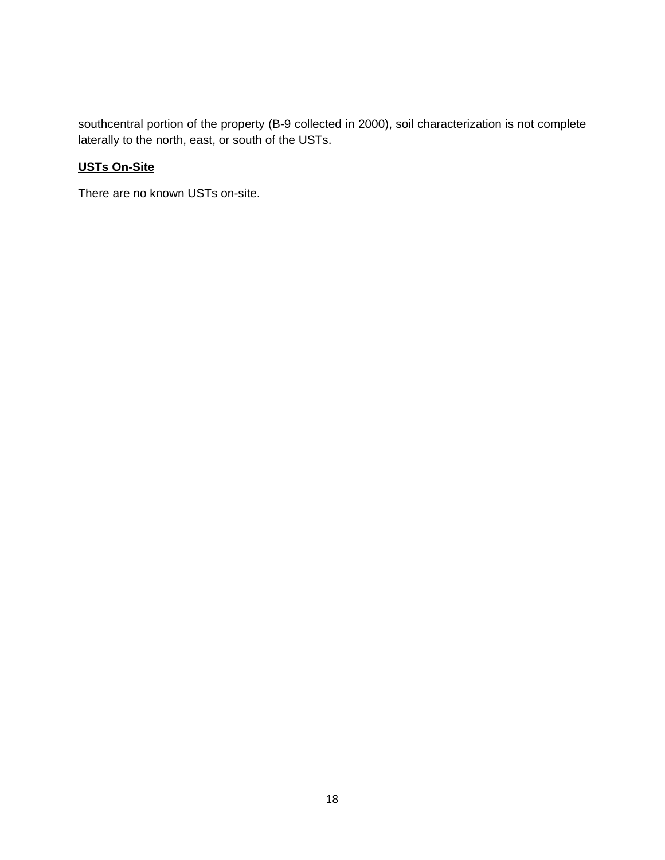southcentral portion of the property (B-9 collected in 2000), soil characterization is not complete laterally to the north, east, or south of the USTs.

## **USTs On-Site**

There are no known USTs on-site.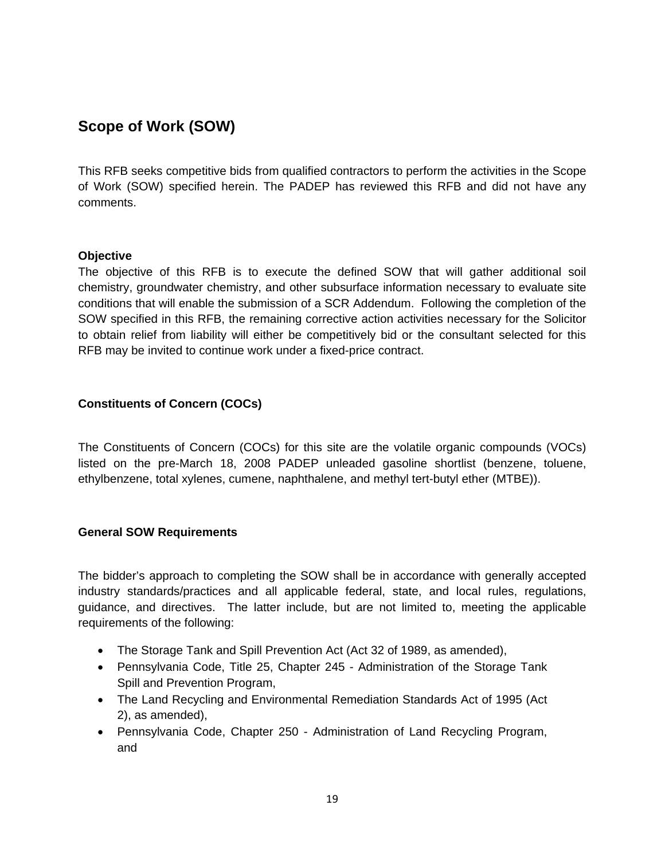# **Scope of Work (SOW)**

This RFB seeks competitive bids from qualified contractors to perform the activities in the Scope of Work (SOW) specified herein. The PADEP has reviewed this RFB and did not have any comments.

### **Objective**

The objective of this RFB is to execute the defined SOW that will gather additional soil chemistry, groundwater chemistry, and other subsurface information necessary to evaluate site conditions that will enable the submission of a SCR Addendum. Following the completion of the SOW specified in this RFB, the remaining corrective action activities necessary for the Solicitor to obtain relief from liability will either be competitively bid or the consultant selected for this RFB may be invited to continue work under a fixed-price contract.

## **Constituents of Concern (COCs)**

The Constituents of Concern (COCs) for this site are the volatile organic compounds (VOCs) listed on the pre-March 18, 2008 PADEP unleaded gasoline shortlist (benzene, toluene, ethylbenzene, total xylenes, cumene, naphthalene, and methyl tert-butyl ether (MTBE)).

### **General SOW Requirements**

The bidder's approach to completing the SOW shall be in accordance with generally accepted industry standards/practices and all applicable federal, state, and local rules, regulations, guidance, and directives. The latter include, but are not limited to, meeting the applicable requirements of the following:

- The Storage Tank and Spill Prevention Act (Act 32 of 1989, as amended),
- Pennsylvania Code, Title 25, Chapter 245 Administration of the Storage Tank Spill and Prevention Program,
- The Land Recycling and Environmental Remediation Standards Act of 1995 (Act 2), as amended),
- Pennsylvania Code, Chapter 250 Administration of Land Recycling Program, and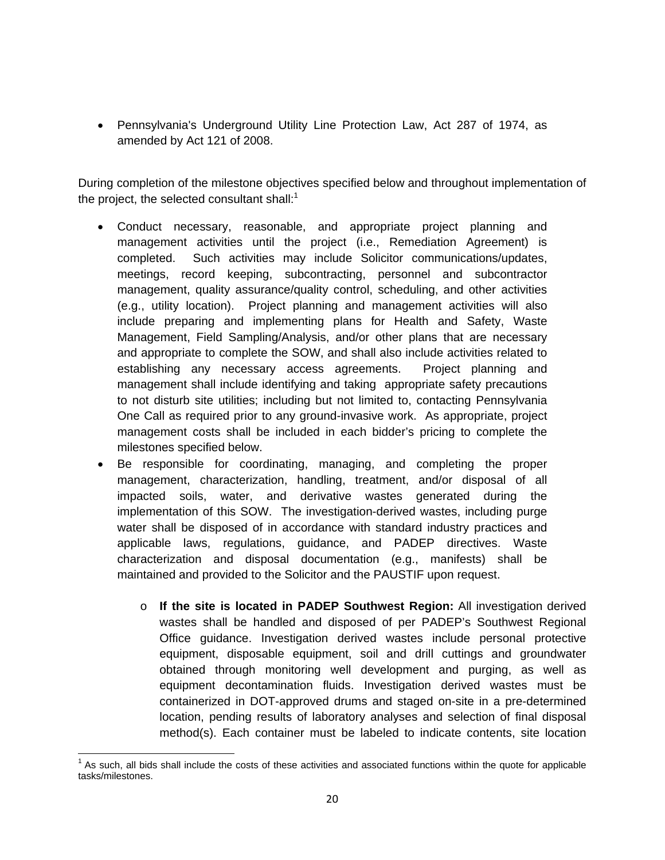Pennsylvania's Underground Utility Line Protection Law, Act 287 of 1974, as amended by Act 121 of 2008.

During completion of the milestone objectives specified below and throughout implementation of the project, the selected consultant shall: $1$ 

- Conduct necessary, reasonable, and appropriate project planning and management activities until the project (i.e., Remediation Agreement) is completed. Such activities may include Solicitor communications/updates, meetings, record keeping, subcontracting, personnel and subcontractor management, quality assurance/quality control, scheduling, and other activities (e.g., utility location). Project planning and management activities will also include preparing and implementing plans for Health and Safety, Waste Management, Field Sampling/Analysis, and/or other plans that are necessary and appropriate to complete the SOW, and shall also include activities related to establishing any necessary access agreements. Project planning and management shall include identifying and taking appropriate safety precautions to not disturb site utilities; including but not limited to, contacting Pennsylvania One Call as required prior to any ground-invasive work. As appropriate, project management costs shall be included in each bidder's pricing to complete the milestones specified below.
- Be responsible for coordinating, managing, and completing the proper management, characterization, handling, treatment, and/or disposal of all impacted soils, water, and derivative wastes generated during the implementation of this SOW. The investigation-derived wastes, including purge water shall be disposed of in accordance with standard industry practices and applicable laws, regulations, guidance, and PADEP directives. Waste characterization and disposal documentation (e.g., manifests) shall be maintained and provided to the Solicitor and the PAUSTIF upon request.
	- o **If the site is located in PADEP Southwest Region:** All investigation derived wastes shall be handled and disposed of per PADEP's Southwest Regional Office guidance. Investigation derived wastes include personal protective equipment, disposable equipment, soil and drill cuttings and groundwater obtained through monitoring well development and purging, as well as equipment decontamination fluids. Investigation derived wastes must be containerized in DOT-approved drums and staged on-site in a pre-determined location, pending results of laboratory analyses and selection of final disposal method(s). Each container must be labeled to indicate contents, site location

<sup>&</sup>lt;u> 1980 - Andrea Andrew Maria (h. 1980).</u><br>1980 - Andrew Maria (h. 1980).  $1$  As such, all bids shall include the costs of these activities and associated functions within the quote for applicable tasks/milestones.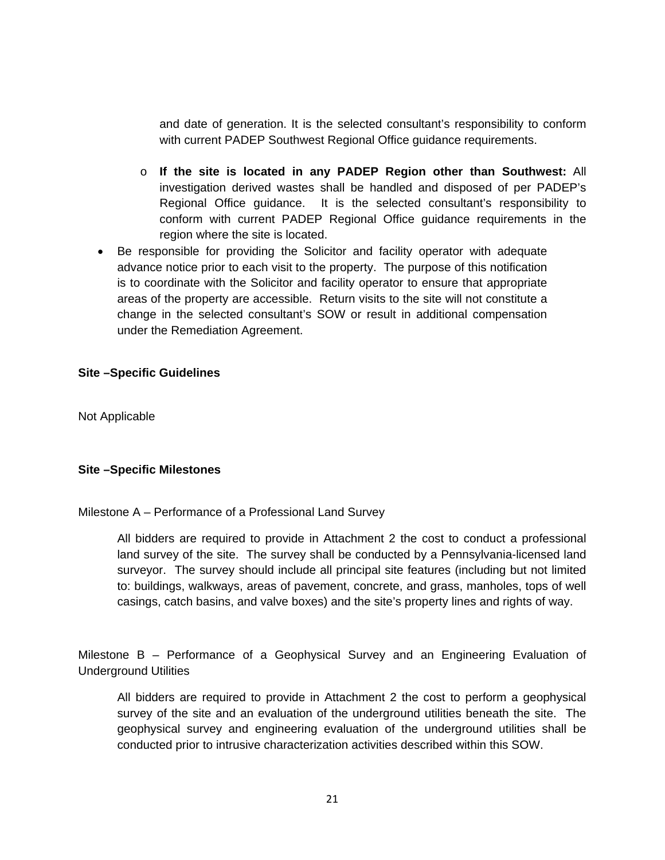and date of generation. It is the selected consultant's responsibility to conform with current PADEP Southwest Regional Office guidance requirements.

- o **If the site is located in any PADEP Region other than Southwest:** All investigation derived wastes shall be handled and disposed of per PADEP's Regional Office guidance. It is the selected consultant's responsibility to conform with current PADEP Regional Office guidance requirements in the region where the site is located.
- Be responsible for providing the Solicitor and facility operator with adequate advance notice prior to each visit to the property. The purpose of this notification is to coordinate with the Solicitor and facility operator to ensure that appropriate areas of the property are accessible. Return visits to the site will not constitute a change in the selected consultant's SOW or result in additional compensation under the Remediation Agreement.

### **Site –Specific Guidelines**

Not Applicable

### **Site –Specific Milestones**

#### Milestone A – Performance of a Professional Land Survey

All bidders are required to provide in Attachment 2 the cost to conduct a professional land survey of the site. The survey shall be conducted by a Pennsylvania-licensed land surveyor. The survey should include all principal site features (including but not limited to: buildings, walkways, areas of pavement, concrete, and grass, manholes, tops of well casings, catch basins, and valve boxes) and the site's property lines and rights of way.

Milestone B – Performance of a Geophysical Survey and an Engineering Evaluation of Underground Utilities

All bidders are required to provide in Attachment 2 the cost to perform a geophysical survey of the site and an evaluation of the underground utilities beneath the site. The geophysical survey and engineering evaluation of the underground utilities shall be conducted prior to intrusive characterization activities described within this SOW.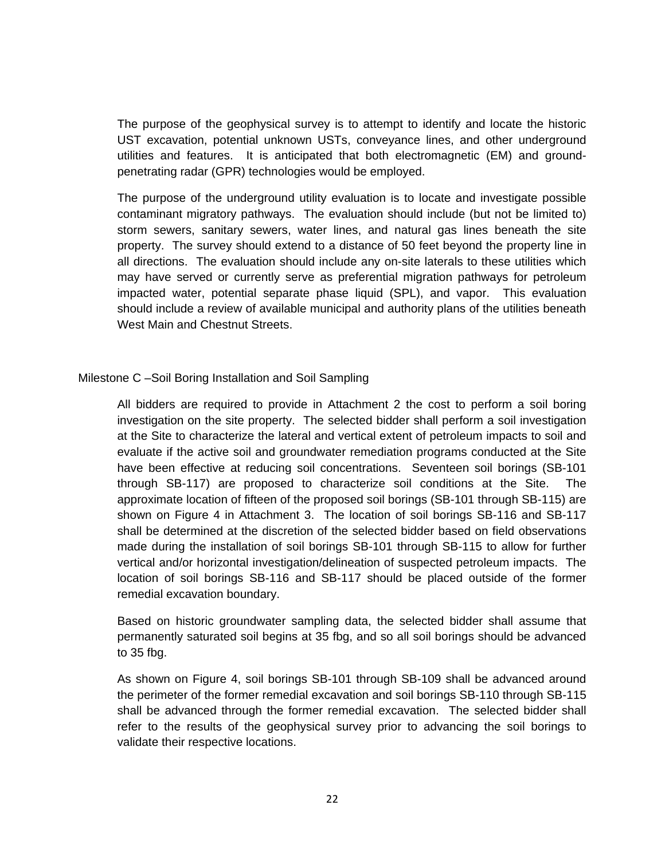The purpose of the geophysical survey is to attempt to identify and locate the historic UST excavation, potential unknown USTs, conveyance lines, and other underground utilities and features. It is anticipated that both electromagnetic (EM) and groundpenetrating radar (GPR) technologies would be employed.

The purpose of the underground utility evaluation is to locate and investigate possible contaminant migratory pathways. The evaluation should include (but not be limited to) storm sewers, sanitary sewers, water lines, and natural gas lines beneath the site property. The survey should extend to a distance of 50 feet beyond the property line in all directions. The evaluation should include any on-site laterals to these utilities which may have served or currently serve as preferential migration pathways for petroleum impacted water, potential separate phase liquid (SPL), and vapor. This evaluation should include a review of available municipal and authority plans of the utilities beneath West Main and Chestnut Streets.

### Milestone C –Soil Boring Installation and Soil Sampling

All bidders are required to provide in Attachment 2 the cost to perform a soil boring investigation on the site property. The selected bidder shall perform a soil investigation at the Site to characterize the lateral and vertical extent of petroleum impacts to soil and evaluate if the active soil and groundwater remediation programs conducted at the Site have been effective at reducing soil concentrations. Seventeen soil borings (SB-101 through SB-117) are proposed to characterize soil conditions at the Site. The approximate location of fifteen of the proposed soil borings (SB-101 through SB-115) are shown on Figure 4 in Attachment 3. The location of soil borings SB-116 and SB-117 shall be determined at the discretion of the selected bidder based on field observations made during the installation of soil borings SB-101 through SB-115 to allow for further vertical and/or horizontal investigation/delineation of suspected petroleum impacts. The location of soil borings SB-116 and SB-117 should be placed outside of the former remedial excavation boundary.

Based on historic groundwater sampling data, the selected bidder shall assume that permanently saturated soil begins at 35 fbg, and so all soil borings should be advanced to 35 fbg.

As shown on Figure 4, soil borings SB-101 through SB-109 shall be advanced around the perimeter of the former remedial excavation and soil borings SB-110 through SB-115 shall be advanced through the former remedial excavation. The selected bidder shall refer to the results of the geophysical survey prior to advancing the soil borings to validate their respective locations.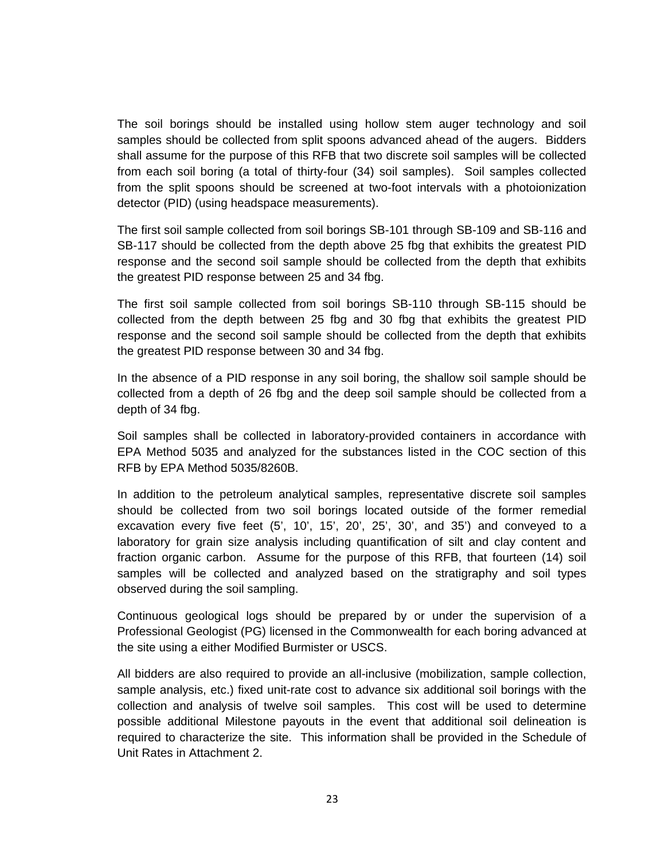The soil borings should be installed using hollow stem auger technology and soil samples should be collected from split spoons advanced ahead of the augers. Bidders shall assume for the purpose of this RFB that two discrete soil samples will be collected from each soil boring (a total of thirty-four (34) soil samples). Soil samples collected from the split spoons should be screened at two-foot intervals with a photoionization detector (PID) (using headspace measurements).

The first soil sample collected from soil borings SB-101 through SB-109 and SB-116 and SB-117 should be collected from the depth above 25 fbg that exhibits the greatest PID response and the second soil sample should be collected from the depth that exhibits the greatest PID response between 25 and 34 fbg.

The first soil sample collected from soil borings SB-110 through SB-115 should be collected from the depth between 25 fbg and 30 fbg that exhibits the greatest PID response and the second soil sample should be collected from the depth that exhibits the greatest PID response between 30 and 34 fbg.

In the absence of a PID response in any soil boring, the shallow soil sample should be collected from a depth of 26 fbg and the deep soil sample should be collected from a depth of 34 fbg.

Soil samples shall be collected in laboratory-provided containers in accordance with EPA Method 5035 and analyzed for the substances listed in the COC section of this RFB by EPA Method 5035/8260B.

In addition to the petroleum analytical samples, representative discrete soil samples should be collected from two soil borings located outside of the former remedial excavation every five feet (5', 10', 15', 20', 25', 30', and 35') and conveyed to a laboratory for grain size analysis including quantification of silt and clay content and fraction organic carbon. Assume for the purpose of this RFB, that fourteen (14) soil samples will be collected and analyzed based on the stratigraphy and soil types observed during the soil sampling.

Continuous geological logs should be prepared by or under the supervision of a Professional Geologist (PG) licensed in the Commonwealth for each boring advanced at the site using a either Modified Burmister or USCS.

All bidders are also required to provide an all-inclusive (mobilization, sample collection, sample analysis, etc.) fixed unit-rate cost to advance six additional soil borings with the collection and analysis of twelve soil samples. This cost will be used to determine possible additional Milestone payouts in the event that additional soil delineation is required to characterize the site. This information shall be provided in the Schedule of Unit Rates in Attachment 2.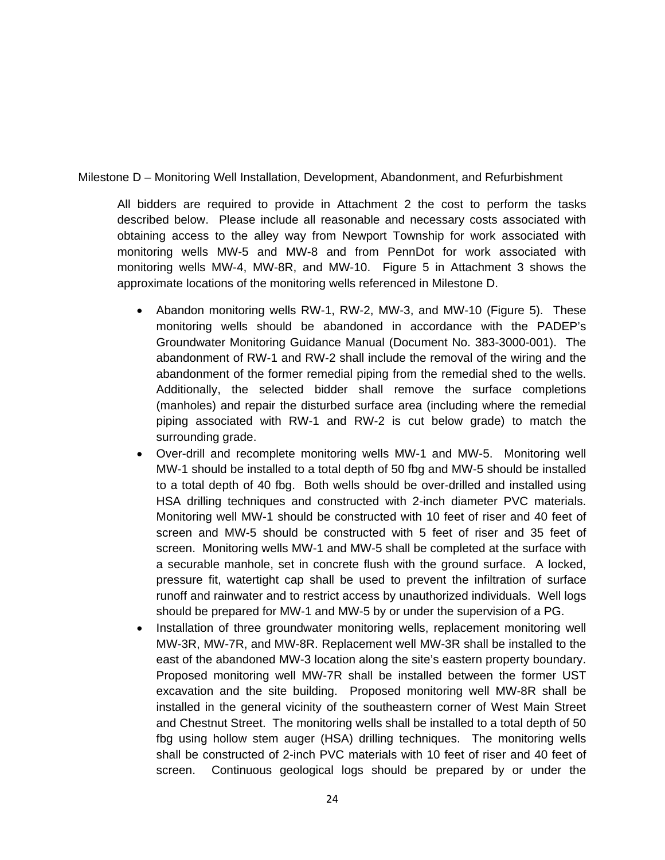Milestone D – Monitoring Well Installation, Development, Abandonment, and Refurbishment

All bidders are required to provide in Attachment 2 the cost to perform the tasks described below. Please include all reasonable and necessary costs associated with obtaining access to the alley way from Newport Township for work associated with monitoring wells MW-5 and MW-8 and from PennDot for work associated with monitoring wells MW-4, MW-8R, and MW-10. Figure 5 in Attachment 3 shows the approximate locations of the monitoring wells referenced in Milestone D.

- Abandon monitoring wells RW-1, RW-2, MW-3, and MW-10 (Figure 5). These monitoring wells should be abandoned in accordance with the PADEP's Groundwater Monitoring Guidance Manual (Document No. 383-3000-001). The abandonment of RW-1 and RW-2 shall include the removal of the wiring and the abandonment of the former remedial piping from the remedial shed to the wells. Additionally, the selected bidder shall remove the surface completions (manholes) and repair the disturbed surface area (including where the remedial piping associated with RW-1 and RW-2 is cut below grade) to match the surrounding grade.
- Over-drill and recomplete monitoring wells MW-1 and MW-5. Monitoring well MW-1 should be installed to a total depth of 50 fbg and MW-5 should be installed to a total depth of 40 fbg. Both wells should be over-drilled and installed using HSA drilling techniques and constructed with 2-inch diameter PVC materials. Monitoring well MW-1 should be constructed with 10 feet of riser and 40 feet of screen and MW-5 should be constructed with 5 feet of riser and 35 feet of screen. Monitoring wells MW-1 and MW-5 shall be completed at the surface with a securable manhole, set in concrete flush with the ground surface. A locked, pressure fit, watertight cap shall be used to prevent the infiltration of surface runoff and rainwater and to restrict access by unauthorized individuals. Well logs should be prepared for MW-1 and MW-5 by or under the supervision of a PG.
- Installation of three groundwater monitoring wells, replacement monitoring well MW-3R, MW-7R, and MW-8R. Replacement well MW-3R shall be installed to the east of the abandoned MW-3 location along the site's eastern property boundary. Proposed monitoring well MW-7R shall be installed between the former UST excavation and the site building. Proposed monitoring well MW-8R shall be installed in the general vicinity of the southeastern corner of West Main Street and Chestnut Street. The monitoring wells shall be installed to a total depth of 50 fbg using hollow stem auger (HSA) drilling techniques. The monitoring wells shall be constructed of 2-inch PVC materials with 10 feet of riser and 40 feet of screen. Continuous geological logs should be prepared by or under the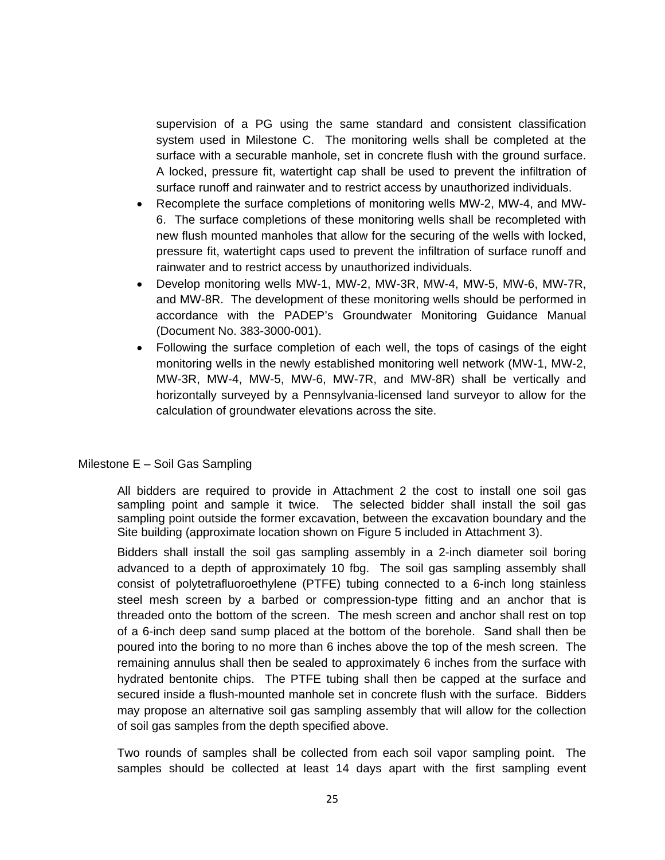supervision of a PG using the same standard and consistent classification system used in Milestone C. The monitoring wells shall be completed at the surface with a securable manhole, set in concrete flush with the ground surface. A locked, pressure fit, watertight cap shall be used to prevent the infiltration of surface runoff and rainwater and to restrict access by unauthorized individuals.

- Recomplete the surface completions of monitoring wells MW-2, MW-4, and MW-6. The surface completions of these monitoring wells shall be recompleted with new flush mounted manholes that allow for the securing of the wells with locked, pressure fit, watertight caps used to prevent the infiltration of surface runoff and rainwater and to restrict access by unauthorized individuals.
- Develop monitoring wells MW-1, MW-2, MW-3R, MW-4, MW-5, MW-6, MW-7R, and MW-8R. The development of these monitoring wells should be performed in accordance with the PADEP's Groundwater Monitoring Guidance Manual (Document No. 383-3000-001).
- Following the surface completion of each well, the tops of casings of the eight monitoring wells in the newly established monitoring well network (MW-1, MW-2, MW-3R, MW-4, MW-5, MW-6, MW-7R, and MW-8R) shall be vertically and horizontally surveyed by a Pennsylvania-licensed land surveyor to allow for the calculation of groundwater elevations across the site.

#### Milestone E – Soil Gas Sampling

All bidders are required to provide in Attachment 2 the cost to install one soil gas sampling point and sample it twice. The selected bidder shall install the soil gas sampling point outside the former excavation, between the excavation boundary and the Site building (approximate location shown on Figure 5 included in Attachment 3).

Bidders shall install the soil gas sampling assembly in a 2-inch diameter soil boring advanced to a depth of approximately 10 fbg. The soil gas sampling assembly shall consist of polytetrafluoroethylene (PTFE) tubing connected to a 6-inch long stainless steel mesh screen by a barbed or compression-type fitting and an anchor that is threaded onto the bottom of the screen. The mesh screen and anchor shall rest on top of a 6-inch deep sand sump placed at the bottom of the borehole. Sand shall then be poured into the boring to no more than 6 inches above the top of the mesh screen. The remaining annulus shall then be sealed to approximately 6 inches from the surface with hydrated bentonite chips. The PTFE tubing shall then be capped at the surface and secured inside a flush-mounted manhole set in concrete flush with the surface. Bidders may propose an alternative soil gas sampling assembly that will allow for the collection of soil gas samples from the depth specified above.

Two rounds of samples shall be collected from each soil vapor sampling point. The samples should be collected at least 14 days apart with the first sampling event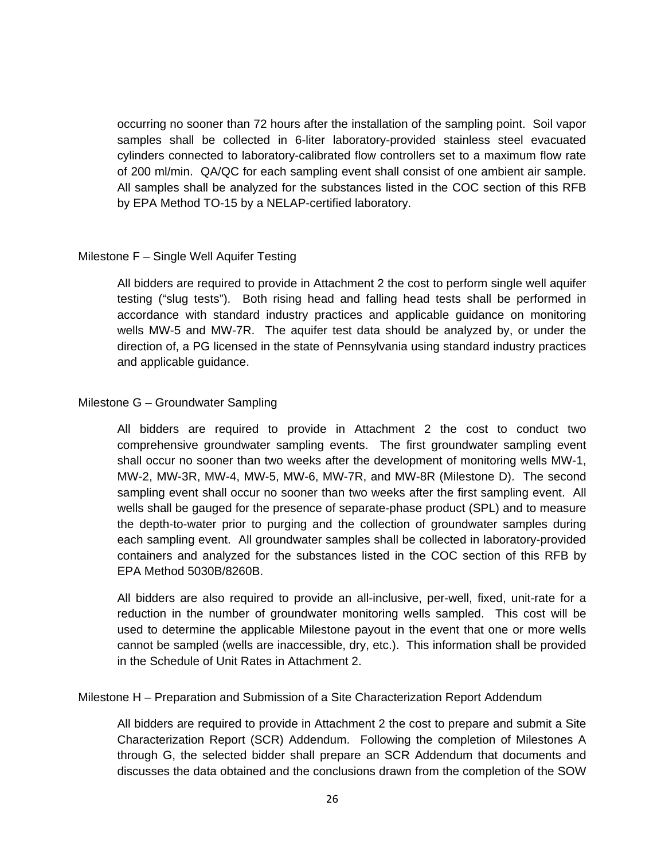occurring no sooner than 72 hours after the installation of the sampling point. Soil vapor samples shall be collected in 6-liter laboratory-provided stainless steel evacuated cylinders connected to laboratory-calibrated flow controllers set to a maximum flow rate of 200 ml/min. QA/QC for each sampling event shall consist of one ambient air sample. All samples shall be analyzed for the substances listed in the COC section of this RFB by EPA Method TO-15 by a NELAP-certified laboratory.

### Milestone F – Single Well Aquifer Testing

All bidders are required to provide in Attachment 2 the cost to perform single well aquifer testing ("slug tests"). Both rising head and falling head tests shall be performed in accordance with standard industry practices and applicable guidance on monitoring wells MW-5 and MW-7R. The aquifer test data should be analyzed by, or under the direction of, a PG licensed in the state of Pennsylvania using standard industry practices and applicable guidance.

### Milestone G – Groundwater Sampling

All bidders are required to provide in Attachment 2 the cost to conduct two comprehensive groundwater sampling events. The first groundwater sampling event shall occur no sooner than two weeks after the development of monitoring wells MW-1, MW-2, MW-3R, MW-4, MW-5, MW-6, MW-7R, and MW-8R (Milestone D). The second sampling event shall occur no sooner than two weeks after the first sampling event. All wells shall be gauged for the presence of separate-phase product (SPL) and to measure the depth-to-water prior to purging and the collection of groundwater samples during each sampling event. All groundwater samples shall be collected in laboratory-provided containers and analyzed for the substances listed in the COC section of this RFB by EPA Method 5030B/8260B.

All bidders are also required to provide an all-inclusive, per-well, fixed, unit-rate for a reduction in the number of groundwater monitoring wells sampled. This cost will be used to determine the applicable Milestone payout in the event that one or more wells cannot be sampled (wells are inaccessible, dry, etc.). This information shall be provided in the Schedule of Unit Rates in Attachment 2.

Milestone H – Preparation and Submission of a Site Characterization Report Addendum

All bidders are required to provide in Attachment 2 the cost to prepare and submit a Site Characterization Report (SCR) Addendum. Following the completion of Milestones A through G, the selected bidder shall prepare an SCR Addendum that documents and discusses the data obtained and the conclusions drawn from the completion of the SOW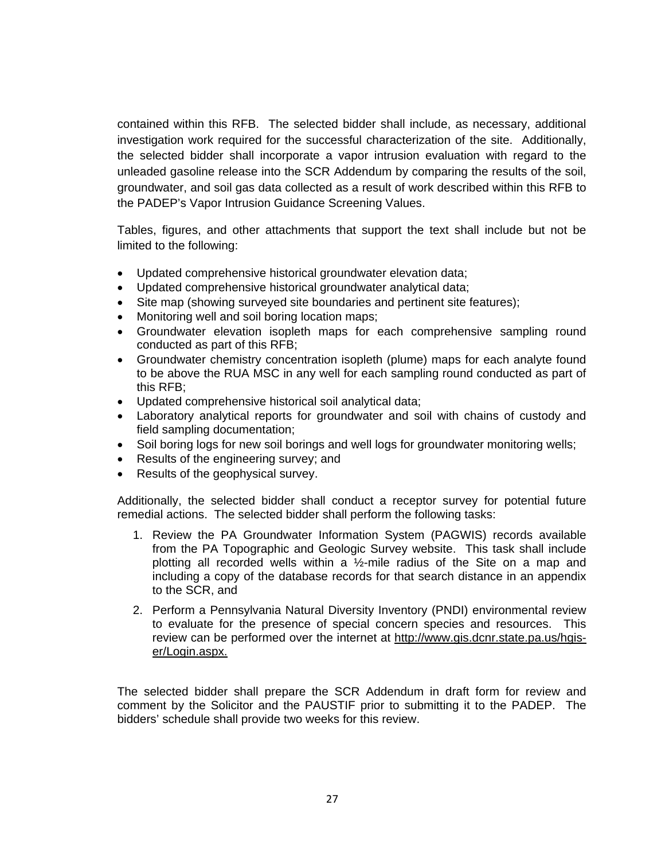contained within this RFB. The selected bidder shall include, as necessary, additional investigation work required for the successful characterization of the site. Additionally, the selected bidder shall incorporate a vapor intrusion evaluation with regard to the unleaded gasoline release into the SCR Addendum by comparing the results of the soil, groundwater, and soil gas data collected as a result of work described within this RFB to the PADEP's Vapor Intrusion Guidance Screening Values.

Tables, figures, and other attachments that support the text shall include but not be limited to the following:

- Updated comprehensive historical groundwater elevation data;
- Updated comprehensive historical groundwater analytical data;
- Site map (showing surveyed site boundaries and pertinent site features);
- Monitoring well and soil boring location maps;
- Groundwater elevation isopleth maps for each comprehensive sampling round conducted as part of this RFB;
- Groundwater chemistry concentration isopleth (plume) maps for each analyte found to be above the RUA MSC in any well for each sampling round conducted as part of this RFB;
- Updated comprehensive historical soil analytical data;
- Laboratory analytical reports for groundwater and soil with chains of custody and field sampling documentation;
- Soil boring logs for new soil borings and well logs for groundwater monitoring wells;
- Results of the engineering survey; and
- Results of the geophysical survey.

Additionally, the selected bidder shall conduct a receptor survey for potential future remedial actions. The selected bidder shall perform the following tasks:

- 1. Review the PA Groundwater Information System (PAGWIS) records available from the PA Topographic and Geologic Survey website. This task shall include plotting all recorded wells within a  $\frac{1}{2}$ -mile radius of the Site on a map and including a copy of the database records for that search distance in an appendix to the SCR, and
- 2. Perform a Pennsylvania Natural Diversity Inventory (PNDI) environmental review to evaluate for the presence of special concern species and resources. This review can be performed over the internet at http://www.gis.dcnr.state.pa.us/hgiser/Login.aspx.

The selected bidder shall prepare the SCR Addendum in draft form for review and comment by the Solicitor and the PAUSTIF prior to submitting it to the PADEP. The bidders' schedule shall provide two weeks for this review.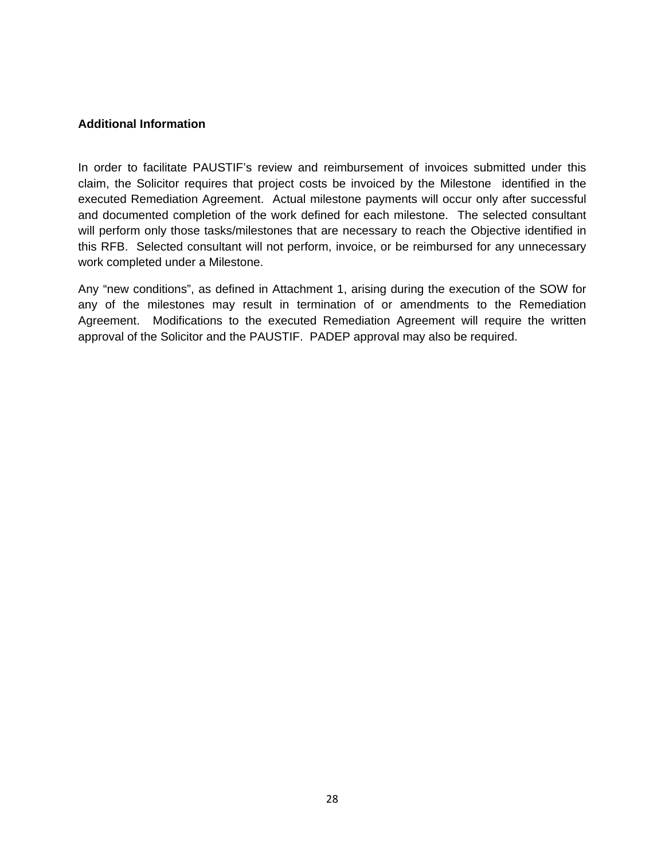### **Additional Information**

In order to facilitate PAUSTIF's review and reimbursement of invoices submitted under this claim, the Solicitor requires that project costs be invoiced by the Milestone identified in the executed Remediation Agreement. Actual milestone payments will occur only after successful and documented completion of the work defined for each milestone. The selected consultant will perform only those tasks/milestones that are necessary to reach the Objective identified in this RFB. Selected consultant will not perform, invoice, or be reimbursed for any unnecessary work completed under a Milestone.

Any "new conditions", as defined in Attachment 1, arising during the execution of the SOW for any of the milestones may result in termination of or amendments to the Remediation Agreement. Modifications to the executed Remediation Agreement will require the written approval of the Solicitor and the PAUSTIF. PADEP approval may also be required.